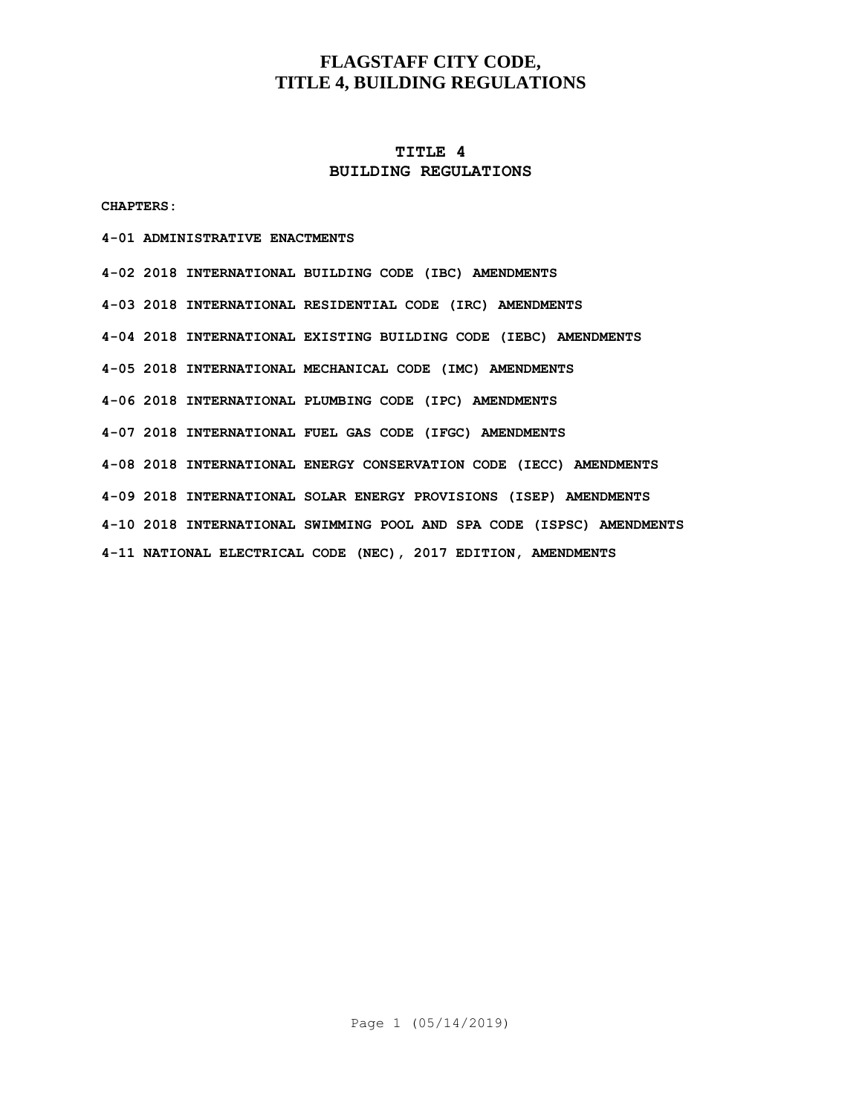## **TITLE 4 BUILDING REGULATIONS**

**CHAPTERS:**

#### **4-01 ADMINISTRATIVE ENACTMENTS**

**4-02 2018 INTERNATIONAL BUILDING CODE (IBC) AMENDMENTS 4-03 2018 INTERNATIONAL RESIDENTIAL CODE (IRC) AMENDMENTS 4-04 2018 INTERNATIONAL EXISTING BUILDING CODE (IEBC) AMENDMENTS 4-05 2018 INTERNATIONAL MECHANICAL CODE (IMC) AMENDMENTS 4-06 2018 INTERNATIONAL PLUMBING CODE (IPC) AMENDMENTS 4-07 2018 INTERNATIONAL FUEL GAS CODE (IFGC) AMENDMENTS 4-08 2018 INTERNATIONAL ENERGY CONSERVATION CODE (IECC) AMENDMENTS 4-09 2018 INTERNATIONAL SOLAR ENERGY PROVISIONS (ISEP) AMENDMENTS 4-10 2018 INTERNATIONAL SWIMMING POOL AND SPA CODE (ISPSC) AMENDMENTS 4-11 NATIONAL ELECTRICAL CODE (NEC), 2017 EDITION, AMENDMENTS**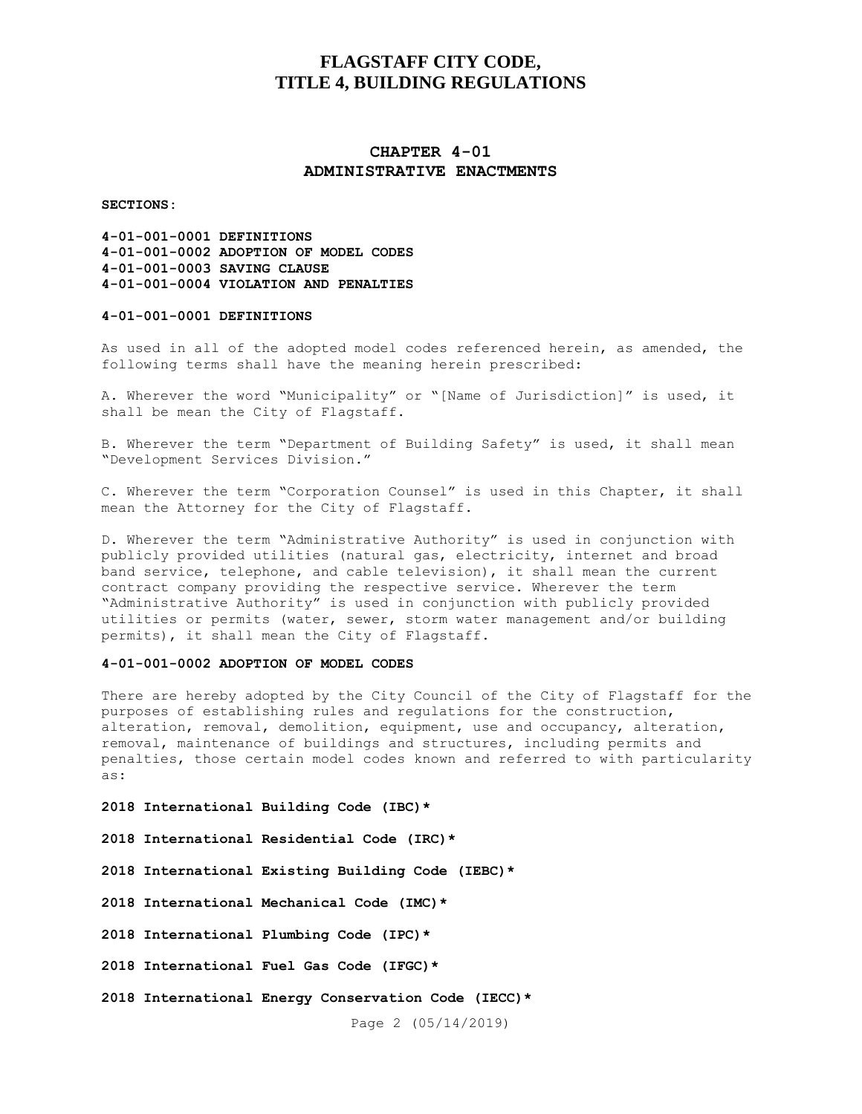## **CHAPTER 4-01 ADMINISTRATIVE ENACTMENTS**

**SECTIONS:**

**4-01-001-0001 DEFINITIONS 4-01-001-0002 ADOPTION OF MODEL CODES 4-01-001-0003 SAVING CLAUSE 4-01-001-0004 VIOLATION AND PENALTIES**

### **4-01-001-0001 DEFINITIONS**

As used in all of the adopted model codes referenced herein, as amended, the following terms shall have the meaning herein prescribed:

A. Wherever the word "Municipality" or "[Name of Jurisdiction]" is used, it shall be mean the City of Flagstaff.

B. Wherever the term "Department of Building Safety" is used, it shall mean "Development Services Division."

C. Wherever the term "Corporation Counsel" is used in this Chapter, it shall mean the Attorney for the City of Flagstaff.

D. Wherever the term "Administrative Authority" is used in conjunction with publicly provided utilities (natural gas, electricity, internet and broad band service, telephone, and cable television), it shall mean the current contract company providing the respective service. Wherever the term "Administrative Authority" is used in conjunction with publicly provided utilities or permits (water, sewer, storm water management and/or building permits), it shall mean the City of Flagstaff.

#### **4-01-001-0002 ADOPTION OF MODEL CODES**

There are hereby adopted by the City Council of the City of Flagstaff for the purposes of establishing rules and regulations for the construction, alteration, removal, demolition, equipment, use and occupancy, alteration, removal, maintenance of buildings and structures, including permits and penalties, those certain model codes known and referred to with particularity as:

**2018 International Building Code (IBC)\***

**2018 International Residential Code (IRC)\***

**2018 International Existing Building Code (IEBC)\***

**2018 International Mechanical Code (IMC)\***

**2018 International Plumbing Code (IPC)\***

**2018 International Fuel Gas Code (IFGC)\***

**2018 International Energy Conservation Code (IECC)\***

Page 2 (05/14/2019)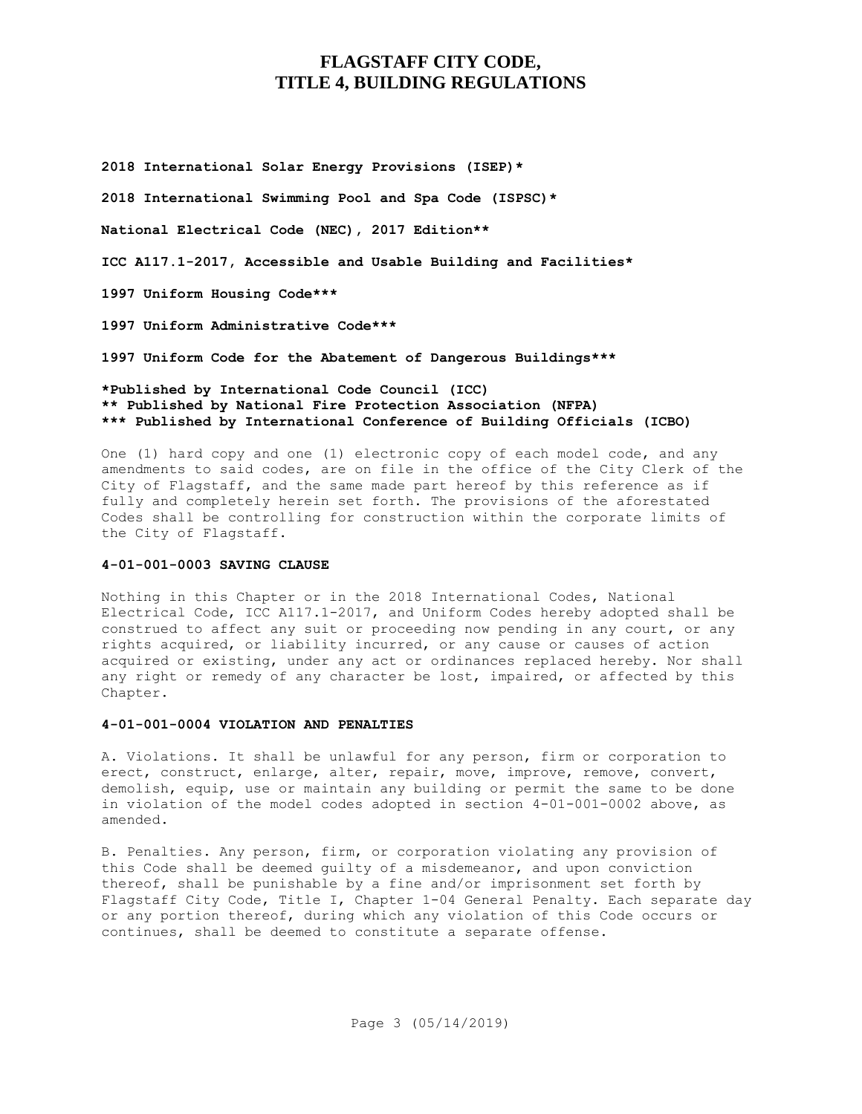**2018 International Solar Energy Provisions (ISEP)\***

**2018 International Swimming Pool and Spa Code (ISPSC)\***

**National Electrical Code (NEC), 2017 Edition\*\***

**ICC A117.1-2017, Accessible and Usable Building and Facilities\***

**1997 Uniform Housing Code\*\*\***

**1997 Uniform Administrative Code\*\*\***

**1997 Uniform Code for the Abatement of Dangerous Buildings\*\*\***

### **\*Published by International Code Council (ICC) \*\* Published by National Fire Protection Association (NFPA) \*\*\* Published by International Conference of Building Officials (ICBO)**

One (1) hard copy and one (1) electronic copy of each model code, and any amendments to said codes, are on file in the office of the City Clerk of the City of Flagstaff, and the same made part hereof by this reference as if fully and completely herein set forth. The provisions of the aforestated Codes shall be controlling for construction within the corporate limits of the City of Flagstaff.

### **4-01-001-0003 SAVING CLAUSE**

Nothing in this Chapter or in the 2018 International Codes, National Electrical Code, ICC A117.1-2017, and Uniform Codes hereby adopted shall be construed to affect any suit or proceeding now pending in any court, or any rights acquired, or liability incurred, or any cause or causes of action acquired or existing, under any act or ordinances replaced hereby. Nor shall any right or remedy of any character be lost, impaired, or affected by this Chapter.

#### **4-01-001-0004 VIOLATION AND PENALTIES**

A. Violations. It shall be unlawful for any person, firm or corporation to erect, construct, enlarge, alter, repair, move, improve, remove, convert, demolish, equip, use or maintain any building or permit the same to be done in violation of the model codes adopted in section 4-01-001-0002 above, as amended.

B. Penalties. Any person, firm, or corporation violating any provision of this Code shall be deemed guilty of a misdemeanor, and upon conviction thereof, shall be punishable by a fine and/or imprisonment set forth by Flagstaff City Code, Title I, Chapter 1-04 General Penalty. Each separate day or any portion thereof, during which any violation of this Code occurs or continues, shall be deemed to constitute a separate offense.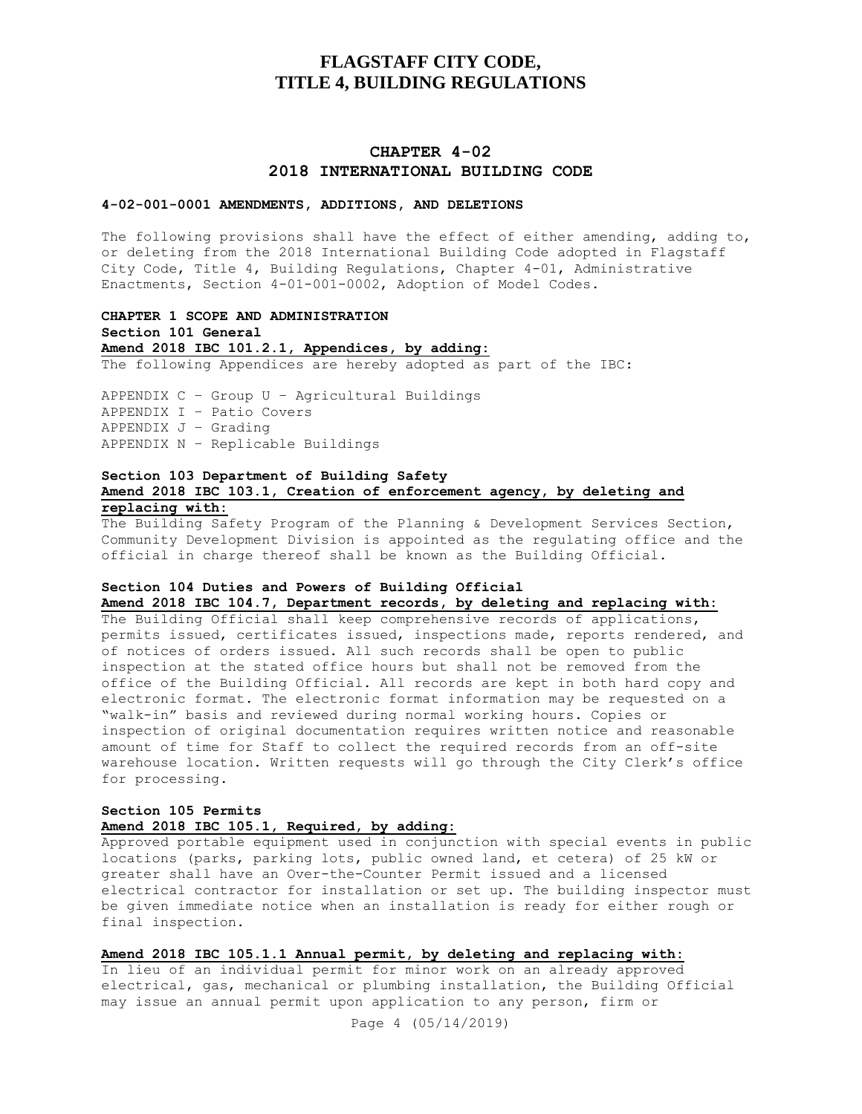## **CHAPTER 4-02 2018 INTERNATIONAL BUILDING CODE**

#### **4-02-001-0001 AMENDMENTS, ADDITIONS, AND DELETIONS**

The following provisions shall have the effect of either amending, adding to, or deleting from the 2018 International Building Code adopted in Flagstaff City Code, Title 4, Building Regulations, Chapter 4-01, Administrative Enactments, Section 4-01-001-0002, Adoption of Model Codes.

**CHAPTER 1 SCOPE AND ADMINISTRATION Section 101 General Amend 2018 IBC 101.2.1, Appendices, by adding:** The following Appendices are hereby adopted as part of the IBC:

APPENDIX C – Group U – Agricultural Buildings APPENDIX I – Patio Covers APPENDIX J – Grading APPENDIX N – Replicable Buildings

### **Section 103 Department of Building Safety Amend 2018 IBC 103.1, Creation of enforcement agency, by deleting and replacing with:**

The Building Safety Program of the Planning & Development Services Section, Community Development Division is appointed as the regulating office and the official in charge thereof shall be known as the Building Official.

## **Section 104 Duties and Powers of Building Official**

**Amend 2018 IBC 104.7, Department records, by deleting and replacing with:**

The Building Official shall keep comprehensive records of applications, permits issued, certificates issued, inspections made, reports rendered, and of notices of orders issued. All such records shall be open to public inspection at the stated office hours but shall not be removed from the office of the Building Official. All records are kept in both hard copy and electronic format. The electronic format information may be requested on a "walk-in" basis and reviewed during normal working hours. Copies or inspection of original documentation requires written notice and reasonable amount of time for Staff to collect the required records from an off-site warehouse location. Written requests will go through the City Clerk's office for processing.

## **Section 105 Permits**

## **Amend 2018 IBC 105.1, Required, by adding:**

Approved portable equipment used in conjunction with special events in public locations (parks, parking lots, public owned land, et cetera) of 25 kW or greater shall have an Over-the-Counter Permit issued and a licensed electrical contractor for installation or set up. The building inspector must be given immediate notice when an installation is ready for either rough or final inspection.

**Amend 2018 IBC 105.1.1 Annual permit, by deleting and replacing with:**

In lieu of an individual permit for minor work on an already approved electrical, gas, mechanical or plumbing installation, the Building Official may issue an annual permit upon application to any person, firm or

Page 4 (05/14/2019)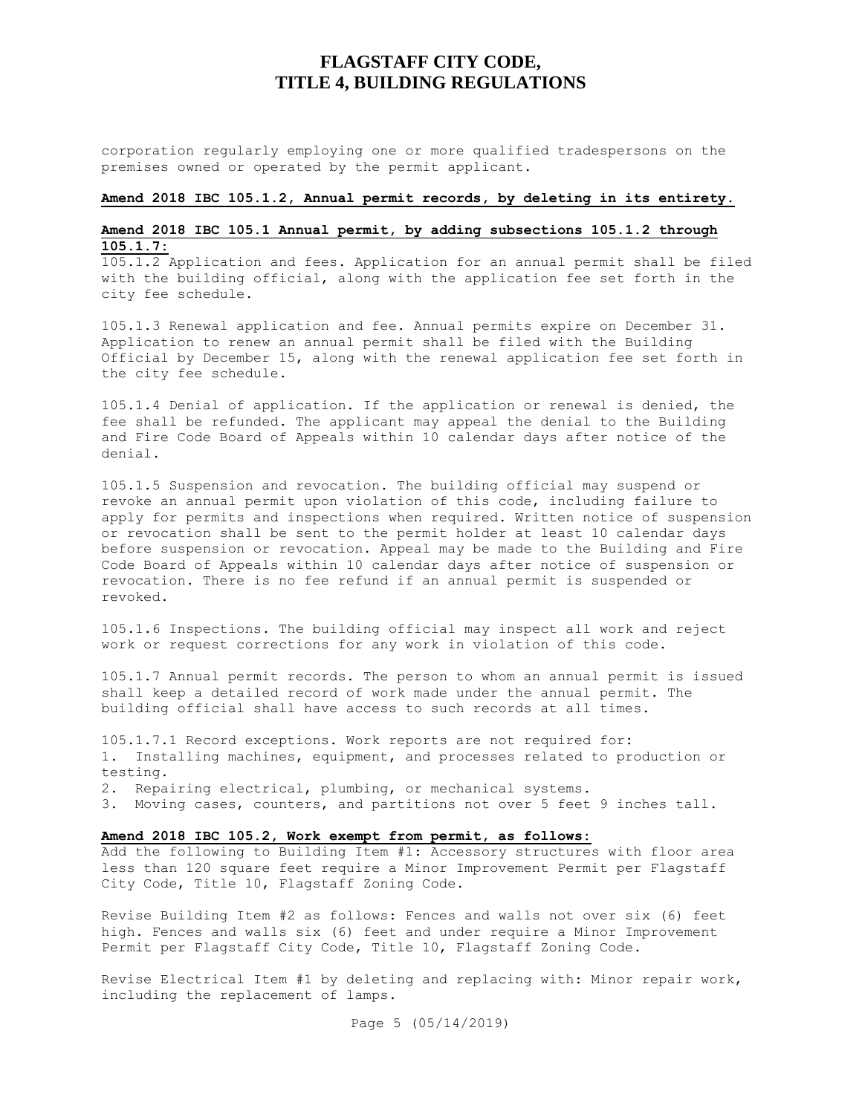corporation regularly employing one or more qualified tradespersons on the premises owned or operated by the permit applicant.

#### **Amend 2018 IBC 105.1.2, Annual permit records, by deleting in its entirety.**

## **Amend 2018 IBC 105.1 Annual permit, by adding subsections 105.1.2 through 105.1.7:**

105.1.2 Application and fees. Application for an annual permit shall be filed with the building official, along with the application fee set forth in the city fee schedule.

105.1.3 Renewal application and fee. Annual permits expire on December 31. Application to renew an annual permit shall be filed with the Building Official by December 15, along with the renewal application fee set forth in the city fee schedule.

105.1.4 Denial of application. If the application or renewal is denied, the fee shall be refunded. The applicant may appeal the denial to the Building and Fire Code Board of Appeals within 10 calendar days after notice of the denial.

105.1.5 Suspension and revocation. The building official may suspend or revoke an annual permit upon violation of this code, including failure to apply for permits and inspections when required. Written notice of suspension or revocation shall be sent to the permit holder at least 10 calendar days before suspension or revocation. Appeal may be made to the Building and Fire Code Board of Appeals within 10 calendar days after notice of suspension or revocation. There is no fee refund if an annual permit is suspended or revoked.

105.1.6 Inspections. The building official may inspect all work and reject work or request corrections for any work in violation of this code.

105.1.7 Annual permit records. The person to whom an annual permit is issued shall keep a detailed record of work made under the annual permit. The building official shall have access to such records at all times.

105.1.7.1 Record exceptions. Work reports are not required for**:**  1. Installing machines, equipment, and processes related to production or testing.

2. Repairing electrical, plumbing, or mechanical systems.

3. Moving cases, counters, and partitions not over 5 feet 9 inches tall.

### **Amend 2018 IBC 105.2, Work exempt from permit, as follows:**

Add the following to Building Item #1: Accessory structures with floor area less than 120 square feet require a Minor Improvement Permit per Flagstaff City Code, Title 10, Flagstaff Zoning Code.

Revise Building Item #2 as follows: Fences and walls not over six (6) feet high. Fences and walls six (6) feet and under require a Minor Improvement Permit per Flagstaff City Code, Title 10, Flagstaff Zoning Code.

Revise Electrical Item #1 by deleting and replacing with: Minor repair work, including the replacement of lamps.

Page 5 (05/14/2019)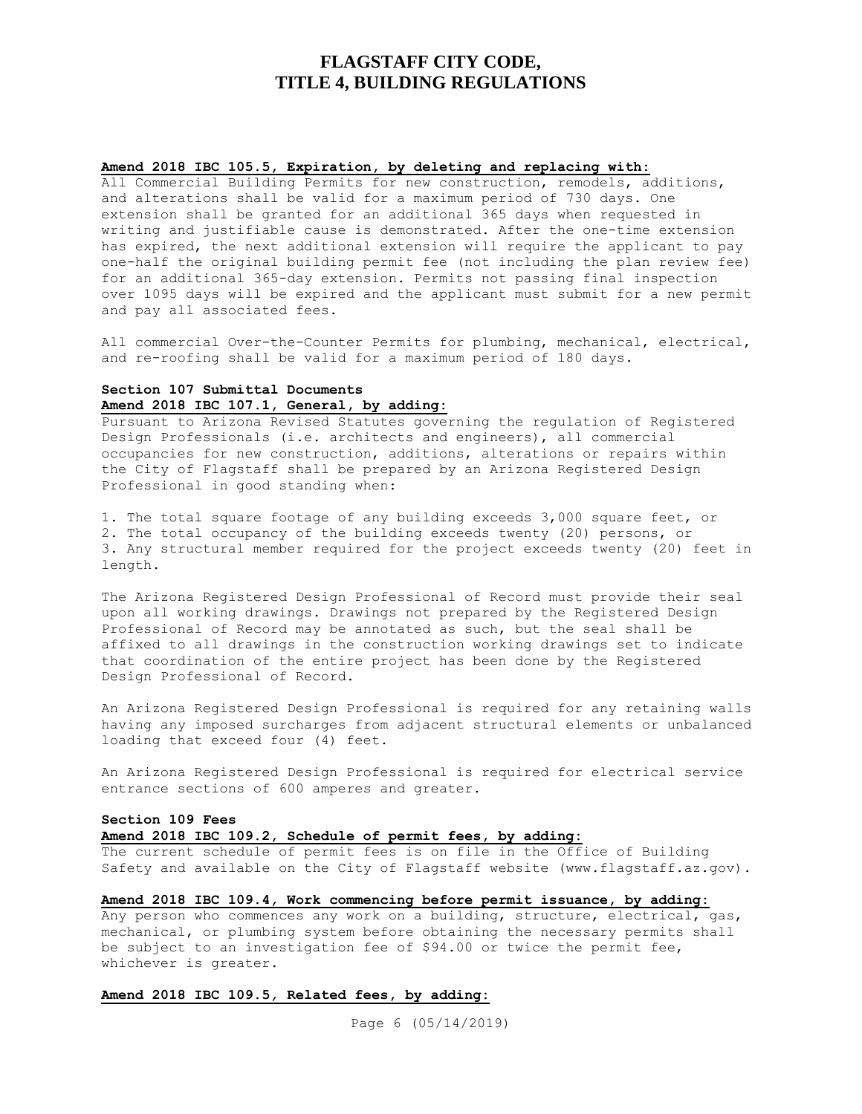### **Amend 2018 IBC 105.5, Expiration, by deleting and replacing with:**

All Commercial Building Permits for new construction, remodels, additions, and alterations shall be valid for a maximum period of 730 days. One extension shall be granted for an additional 365 days when requested in writing and justifiable cause is demonstrated. After the one-time extension has expired, the next additional extension will require the applicant to pay one-half the original building permit fee (not including the plan review fee) for an additional 365-day extension. Permits not passing final inspection over 1095 days will be expired and the applicant must submit for a new permit and pay all associated fees.

All commercial Over-the-Counter Permits for plumbing, mechanical, electrical, and re-roofing shall be valid for a maximum period of 180 days.

## **Section 107 Submittal Documents Amend 2018 IBC 107.1, General, by adding:**

Pursuant to Arizona Revised Statutes governing the regulation of Registered Design Professionals (i.e. architects and engineers), all commercial occupancies for new construction, additions, alterations or repairs within the City of Flagstaff shall be prepared by an Arizona Registered Design Professional in good standing when:

1. The total square footage of any building exceeds 3,000 square feet, or 2. The total occupancy of the building exceeds twenty (20) persons, or 3. Any structural member required for the project exceeds twenty (20) feet in length.

The Arizona Registered Design Professional of Record must provide their seal upon all working drawings. Drawings not prepared by the Registered Design Professional of Record may be annotated as such, but the seal shall be affixed to all drawings in the construction working drawings set to indicate that coordination of the entire project has been done by the Registered Design Professional of Record.

An Arizona Registered Design Professional is required for any retaining walls having any imposed surcharges from adjacent structural elements or unbalanced loading that exceed four (4) feet.

An Arizona Registered Design Professional is required for electrical service entrance sections of 600 amperes and greater.

#### **Section 109 Fees**

### **Amend 2018 IBC 109.2, Schedule of permit fees, by adding:**

The current schedule of permit fees is on file in the Office of Building Safety and available on the City of Flagstaff website (www.flagstaff.az.gov).

## **Amend 2018 IBC 109.4***,* **Work commencing before permit issuance, by adding:**

Any person who commences any work on a building, structure, electrical, gas, mechanical, or plumbing system before obtaining the necessary permits shall be subject to an investigation fee of \$94.00 or twice the permit fee, whichever is greater.

## **Amend 2018 IBC 109.5***,* **Related fees, by adding:**

Page 6 (05/14/2019)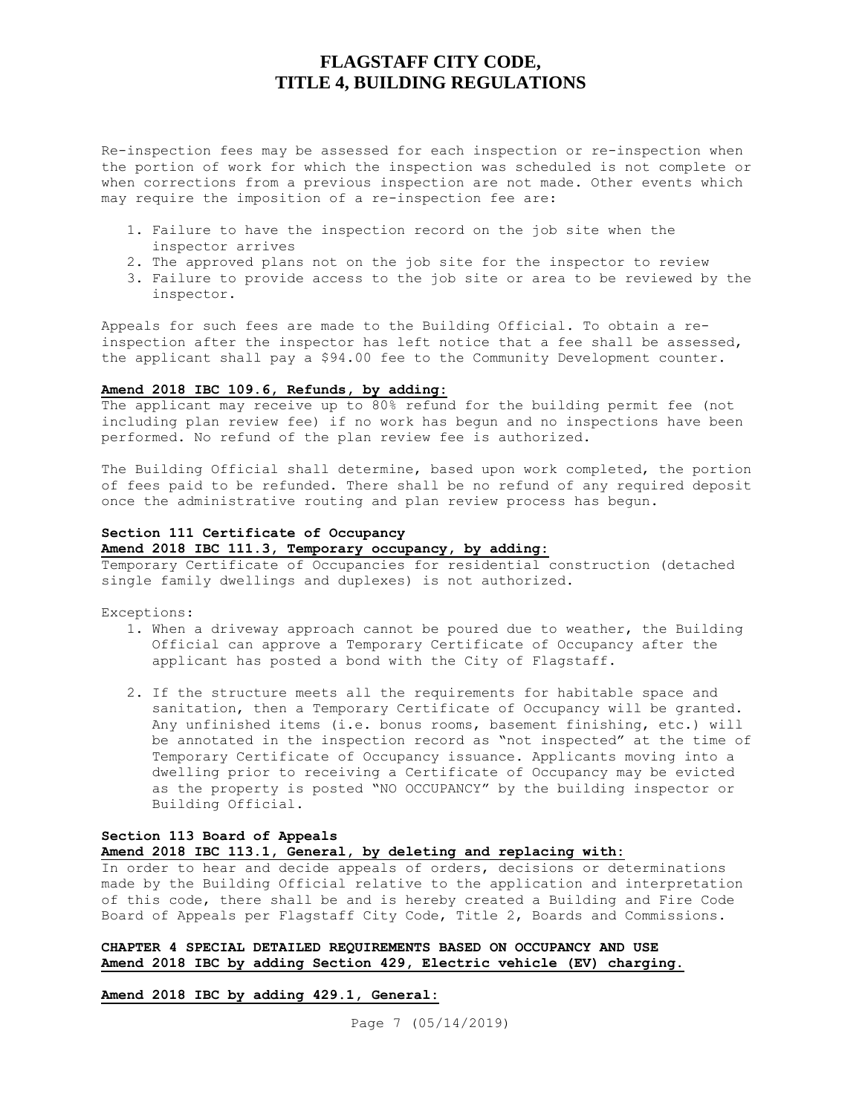Re-inspection fees may be assessed for each inspection or re-inspection when the portion of work for which the inspection was scheduled is not complete or when corrections from a previous inspection are not made. Other events which may require the imposition of a re-inspection fee are:

- 1. Failure to have the inspection record on the job site when the inspector arrives
- 2. The approved plans not on the job site for the inspector to review
- 3. Failure to provide access to the job site or area to be reviewed by the inspector.

Appeals for such fees are made to the Building Official. To obtain a reinspection after the inspector has left notice that a fee shall be assessed, the applicant shall pay a \$94.00 fee to the Community Development counter.

### **Amend 2018 IBC 109.6, Refunds, by adding:**

The applicant may receive up to 80% refund for the building permit fee (not including plan review fee) if no work has begun and no inspections have been performed. No refund of the plan review fee is authorized.

The Building Official shall determine, based upon work completed, the portion of fees paid to be refunded. There shall be no refund of any required deposit once the administrative routing and plan review process has begun.

## **Section 111 Certificate of Occupancy**

## **Amend 2018 IBC 111.3, Temporary occupancy, by adding:**

Temporary Certificate of Occupancies for residential construction (detached single family dwellings and duplexes) is not authorized.

Exceptions:

- 1. When a driveway approach cannot be poured due to weather, the Building Official can approve a Temporary Certificate of Occupancy after the applicant has posted a bond with the City of Flagstaff.
- 2. If the structure meets all the requirements for habitable space and sanitation, then a Temporary Certificate of Occupancy will be granted. Any unfinished items (i.e. bonus rooms, basement finishing, etc.) will be annotated in the inspection record as "not inspected" at the time of Temporary Certificate of Occupancy issuance. Applicants moving into a dwelling prior to receiving a Certificate of Occupancy may be evicted as the property is posted "NO OCCUPANCY" by the building inspector or Building Official.

## **Section 113 Board of Appeals Amend 2018 IBC 113.1, General, by deleting and replacing with:**

In order to hear and decide appeals of orders, decisions or determinations made by the Building Official relative to the application and interpretation of this code, there shall be and is hereby created a Building and Fire Code Board of Appeals per Flagstaff City Code, Title 2, Boards and Commissions.

## **CHAPTER 4 SPECIAL DETAILED REQUIREMENTS BASED ON OCCUPANCY AND USE Amend 2018 IBC by adding Section 429, Electric vehicle (EV) charging.**

#### **Amend 2018 IBC by adding 429.1, General:**

Page 7 (05/14/2019)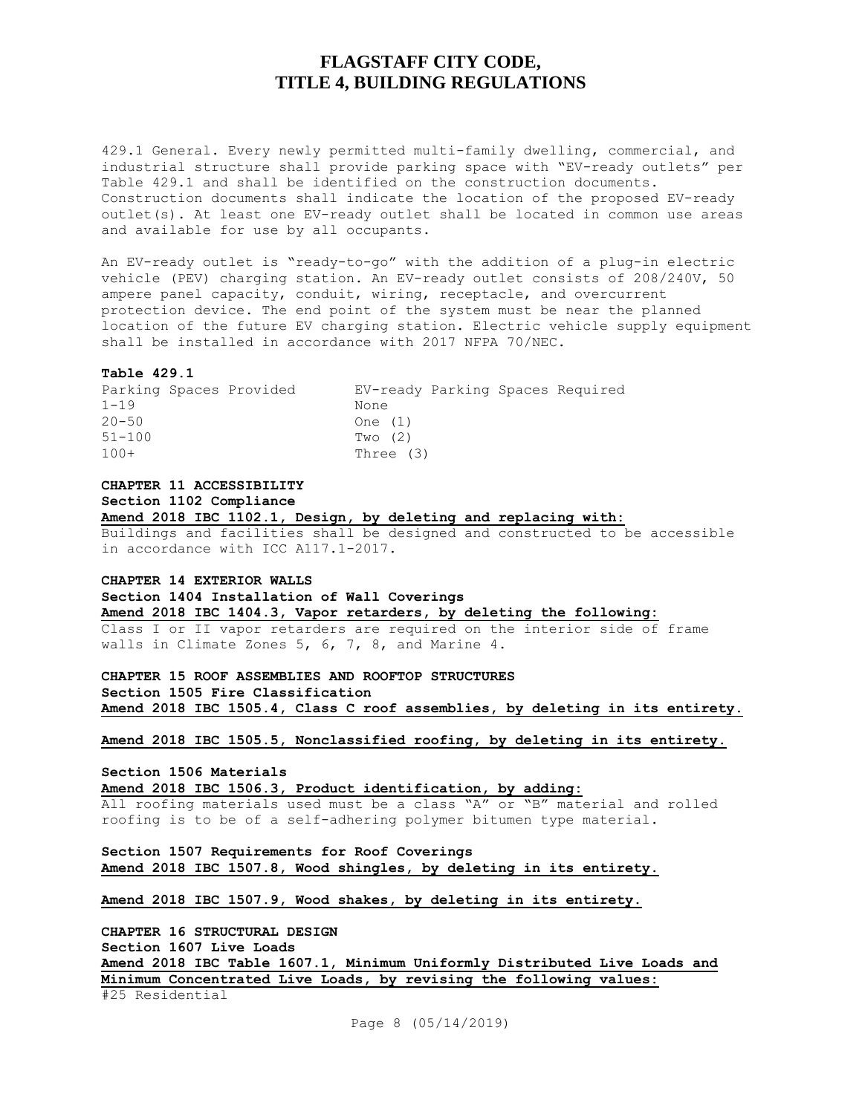429.1 General. Every newly permitted multi-family dwelling, commercial, and industrial structure shall provide parking space with "EV-ready outlets" per Table 429.1 and shall be identified on the construction documents. Construction documents shall indicate the location of the proposed EV-ready outlet(s). At least one EV-ready outlet shall be located in common use areas and available for use by all occupants.

An EV-ready outlet is "ready-to-go" with the addition of a plug-in electric vehicle (PEV) charging station. An EV-ready outlet consists of 208/240V, 50 ampere panel capacity, conduit, wiring, receptacle, and overcurrent protection device. The end point of the system must be near the planned location of the future EV charging station. Electric vehicle supply equipment shall be installed in accordance with 2017 NFPA 70/NEC.

#### **Table 429.1**

|            | Parking Spaces Provided | EV-ready Parking Spaces Required |  |  |
|------------|-------------------------|----------------------------------|--|--|
| $1 - 19$   |                         | None                             |  |  |
| $20 - 50$  |                         | One (1)                          |  |  |
| $51 - 100$ |                         | Two $(2)$                        |  |  |
| $100+$     |                         | Three (3)                        |  |  |

**CHAPTER 11 ACCESSIBILITY**

**Section 1102 Compliance**

**Amend 2018 IBC 1102.1, Design, by deleting and replacing with:**

Buildings and facilities shall be designed and constructed to be accessible in accordance with ICC A117.1-2017.

**CHAPTER 14 EXTERIOR WALLS**

**Section 1404 Installation of Wall Coverings**

**Amend 2018 IBC 1404.3, Vapor retarders, by deleting the following:**

Class I or II vapor retarders are required on the interior side of frame walls in Climate Zones 5, 6, 7, 8, and Marine 4.

**CHAPTER 15 ROOF ASSEMBLIES AND ROOFTOP STRUCTURES Section 1505 Fire Classification Amend 2018 IBC 1505.4, Class C roof assemblies, by deleting in its entirety.**

**Amend 2018 IBC 1505.5, Nonclassified roofing, by deleting in its entirety.**

**Section 1506 Materials**

**Amend 2018 IBC 1506.3, Product identification, by adding:**

All roofing materials used must be a class "A" or "B" material and rolled roofing is to be of a self-adhering polymer bitumen type material.

**Section 1507 Requirements for Roof Coverings Amend 2018 IBC 1507.8, Wood shingles, by deleting in its entirety.**

**Amend 2018 IBC 1507.9, Wood shakes, by deleting in its entirety.**

**CHAPTER 16 STRUCTURAL DESIGN Section 1607 Live Loads Amend 2018 IBC Table 1607.1, Minimum Uniformly Distributed Live Loads and Minimum Concentrated Live Loads, by revising the following values:** #25 Residential

Page 8 (05/14/2019)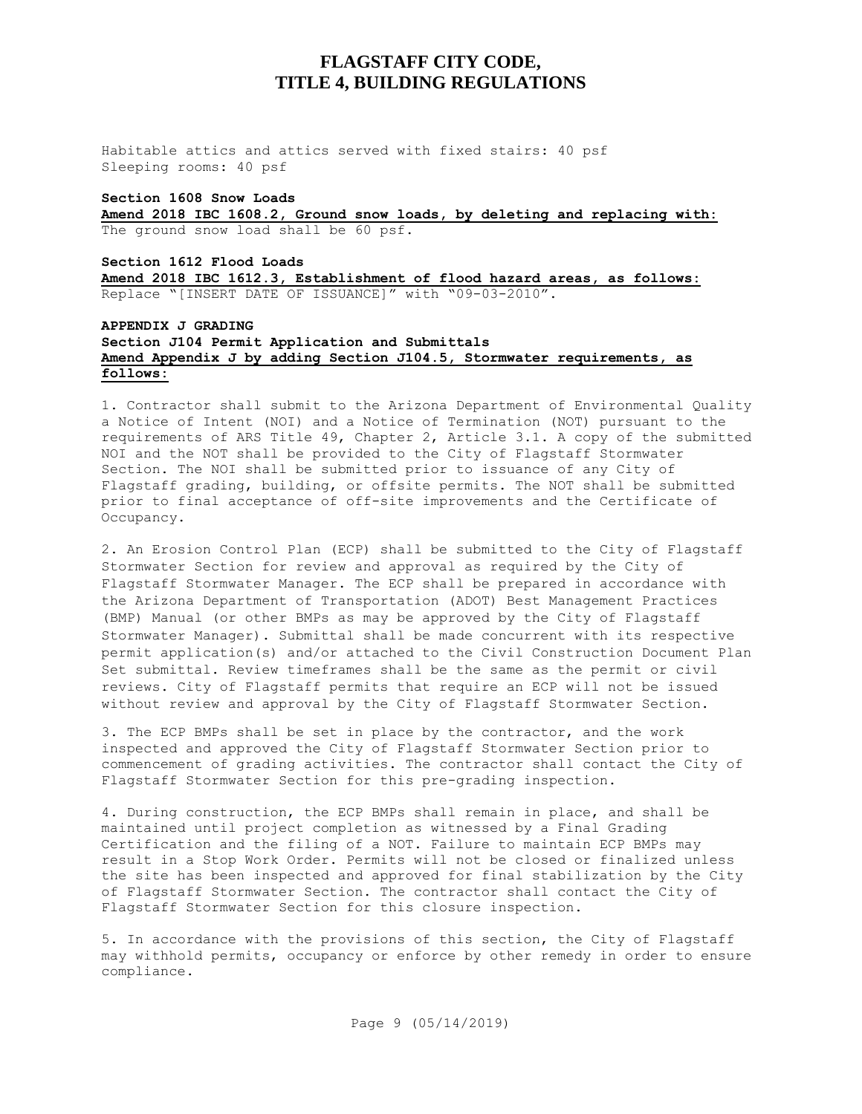Habitable attics and attics served with fixed stairs: 40 psf Sleeping rooms: 40 psf

### **Section 1608 Snow Loads**

**Amend 2018 IBC 1608.2, Ground snow loads, by deleting and replacing with:** The ground snow load shall be 60 psf.

## **Section 1612 Flood Loads**

**Amend 2018 IBC 1612.3, Establishment of flood hazard areas, as follows:** Replace "[INSERT DATE OF ISSUANCE]" with "09-03-2010".

### **APPENDIX J GRADING Section J104 Permit Application and Submittals Amend Appendix J by adding Section J104.5, Stormwater requirements, as follows:**

1. Contractor shall submit to the Arizona Department of Environmental Quality a Notice of Intent (NOI) and a Notice of Termination (NOT) pursuant to the requirements of ARS Title 49, Chapter 2, Article 3.1. A copy of the submitted NOI and the NOT shall be provided to the City of Flagstaff Stormwater Section. The NOI shall be submitted prior to issuance of any City of Flagstaff grading, building, or offsite permits. The NOT shall be submitted prior to final acceptance of off-site improvements and the Certificate of Occupancy.

2. An Erosion Control Plan (ECP) shall be submitted to the City of Flagstaff Stormwater Section for review and approval as required by the City of Flagstaff Stormwater Manager. The ECP shall be prepared in accordance with the Arizona Department of Transportation (ADOT) Best Management Practices (BMP) Manual (or other BMPs as may be approved by the City of Flagstaff Stormwater Manager). Submittal shall be made concurrent with its respective permit application(s) and/or attached to the Civil Construction Document Plan Set submittal. Review timeframes shall be the same as the permit or civil reviews. City of Flagstaff permits that require an ECP will not be issued without review and approval by the City of Flagstaff Stormwater Section.

3. The ECP BMPs shall be set in place by the contractor, and the work inspected and approved the City of Flagstaff Stormwater Section prior to commencement of grading activities. The contractor shall contact the City of Flagstaff Stormwater Section for this pre-grading inspection.

4. During construction, the ECP BMPs shall remain in place, and shall be maintained until project completion as witnessed by a Final Grading Certification and the filing of a NOT. Failure to maintain ECP BMPs may result in a Stop Work Order. Permits will not be closed or finalized unless the site has been inspected and approved for final stabilization by the City of Flagstaff Stormwater Section. The contractor shall contact the City of Flagstaff Stormwater Section for this closure inspection.

5. In accordance with the provisions of this section, the City of Flagstaff may withhold permits, occupancy or enforce by other remedy in order to ensure compliance.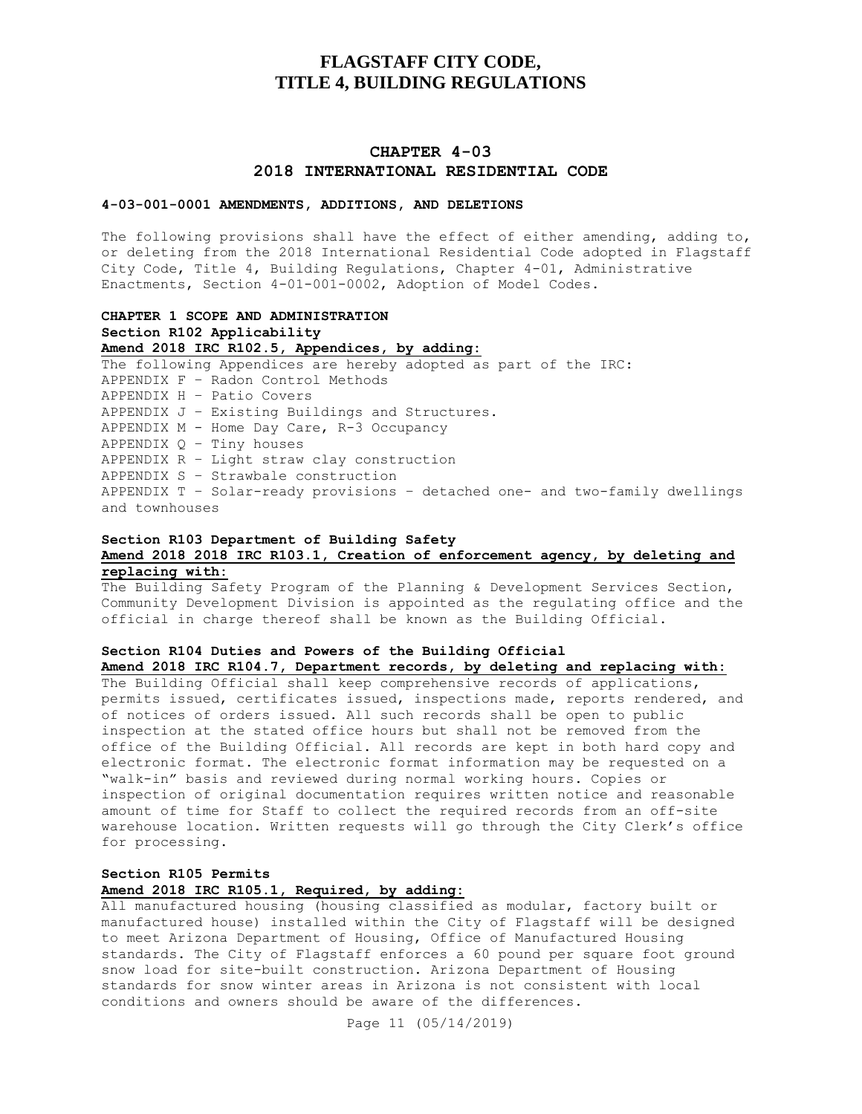## **CHAPTER 4-03 2018 INTERNATIONAL RESIDENTIAL CODE**

#### **4-03-001-0001 AMENDMENTS, ADDITIONS, AND DELETIONS**

The following provisions shall have the effect of either amending, adding to, or deleting from the 2018 International Residential Code adopted in Flagstaff City Code, Title 4, Building Regulations, Chapter 4-01, Administrative Enactments, Section 4-01-001-0002, Adoption of Model Codes.

## **CHAPTER 1 SCOPE AND ADMINISTRATION Section R102 Applicability Amend 2018 IRC R102.5, Appendices, by adding:** The following Appendices are hereby adopted as part of the IRC: APPENDIX F – Radon Control Methods APPENDIX H – Patio Covers APPENDIX J – Existing Buildings and Structures. APPENDIX M - Home Day Care, R-3 Occupancy APPENDIX  $Q -$  Tiny houses APPENDIX R – Light straw clay construction APPENDIX S – Strawbale construction APPENDIX T – Solar-ready provisions – detached one- and two-family dwellings and townhouses

### **Section R103 Department of Building Safety Amend 2018 2018 IRC R103.1, Creation of enforcement agency, by deleting and replacing with:**

The Building Safety Program of the Planning & Development Services Section, Community Development Division is appointed as the regulating office and the official in charge thereof shall be known as the Building Official.

# **Section R104 Duties and Powers of the Building Official**

**Amend 2018 IRC R104.7, Department records, by deleting and replacing with:**

The Building Official shall keep comprehensive records of applications, permits issued, certificates issued, inspections made, reports rendered, and of notices of orders issued. All such records shall be open to public inspection at the stated office hours but shall not be removed from the office of the Building Official. All records are kept in both hard copy and electronic format. The electronic format information may be requested on a "walk-in" basis and reviewed during normal working hours. Copies or inspection of original documentation requires written notice and reasonable amount of time for Staff to collect the required records from an off-site warehouse location. Written requests will go through the City Clerk's office for processing.

## **Section R105 Permits Amend 2018 IRC R105.1, Required, by adding:**

All manufactured housing (housing classified as modular, factory built or manufactured house) installed within the City of Flagstaff will be designed to meet Arizona Department of Housing, Office of Manufactured Housing standards. The City of Flagstaff enforces a 60 pound per square foot ground snow load for site-built construction. Arizona Department of Housing standards for snow winter areas in Arizona is not consistent with local conditions and owners should be aware of the differences.

Page 11 (05/14/2019)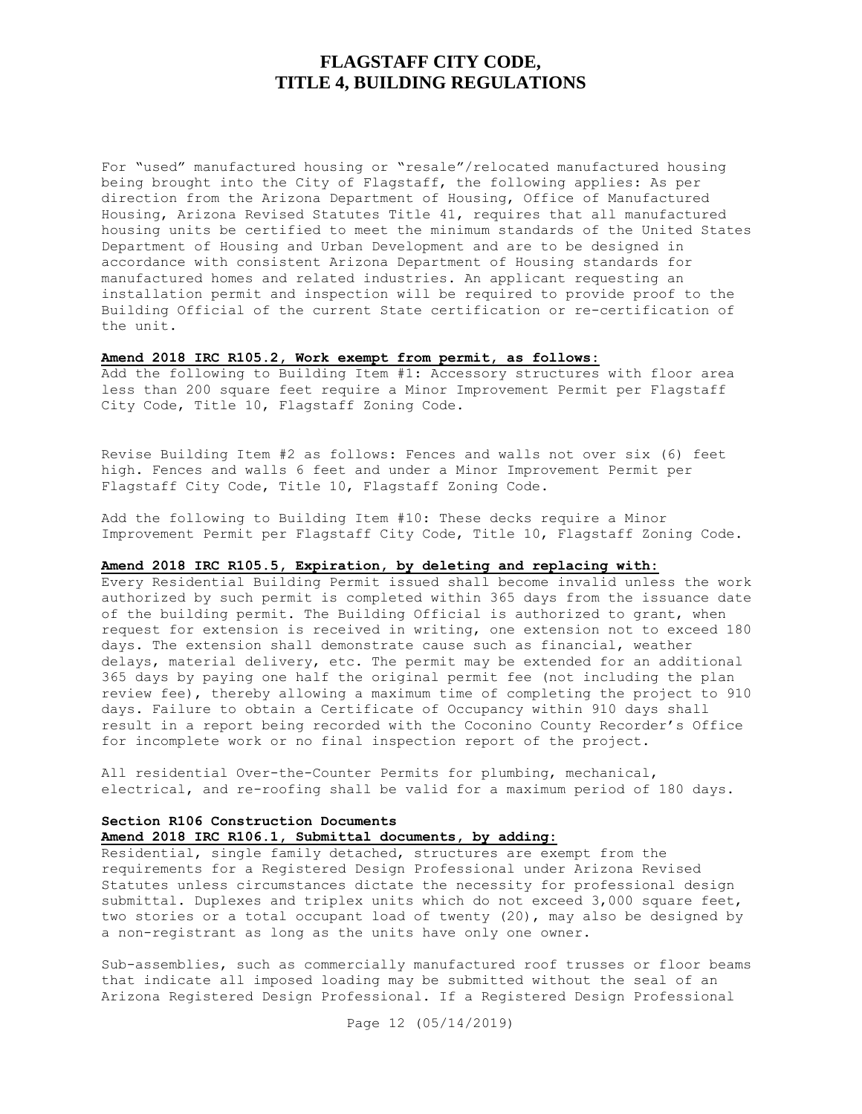For "used" manufactured housing or "resale"/relocated manufactured housing being brought into the City of Flagstaff, the following applies: As per direction from the Arizona Department of Housing, Office of Manufactured Housing, Arizona Revised Statutes Title 41, requires that all manufactured housing units be certified to meet the minimum standards of the United States Department of Housing and Urban Development and are to be designed in accordance with consistent Arizona Department of Housing standards for manufactured homes and related industries. An applicant requesting an installation permit and inspection will be required to provide proof to the Building Official of the current State certification or re-certification of the unit.

## **Amend 2018 IRC R105.2, Work exempt from permit, as follows:**

Add the following to Building Item #1: Accessory structures with floor area less than 200 square feet require a Minor Improvement Permit per Flagstaff City Code, Title 10, Flagstaff Zoning Code.

Revise Building Item #2 as follows: Fences and walls not over six (6) feet high. Fences and walls 6 feet and under a Minor Improvement Permit per Flagstaff City Code, Title 10, Flagstaff Zoning Code.

Add the following to Building Item #10: These decks require a Minor Improvement Permit per Flagstaff City Code, Title 10, Flagstaff Zoning Code.

## **Amend 2018 IRC R105.5, Expiration, by deleting and replacing with:**

Every Residential Building Permit issued shall become invalid unless the work authorized by such permit is completed within 365 days from the issuance date of the building permit. The Building Official is authorized to grant, when request for extension is received in writing, one extension not to exceed 180 days. The extension shall demonstrate cause such as financial, weather delays, material delivery, etc. The permit may be extended for an additional 365 days by paying one half the original permit fee (not including the plan review fee), thereby allowing a maximum time of completing the project to 910 days. Failure to obtain a Certificate of Occupancy within 910 days shall result in a report being recorded with the Coconino County Recorder's Office for incomplete work or no final inspection report of the project.

All residential Over-the-Counter Permits for plumbing, mechanical, electrical, and re-roofing shall be valid for a maximum period of 180 days.

### **Section R106 Construction Documents Amend 2018 IRC R106.1, Submittal documents, by adding:**

Residential, single family detached, structures are exempt from the requirements for a Registered Design Professional under Arizona Revised Statutes unless circumstances dictate the necessity for professional design submittal. Duplexes and triplex units which do not exceed 3,000 square feet, two stories or a total occupant load of twenty (20), may also be designed by a non-registrant as long as the units have only one owner.

Sub-assemblies, such as commercially manufactured roof trusses or floor beams that indicate all imposed loading may be submitted without the seal of an Arizona Registered Design Professional. If a Registered Design Professional

Page 12 (05/14/2019)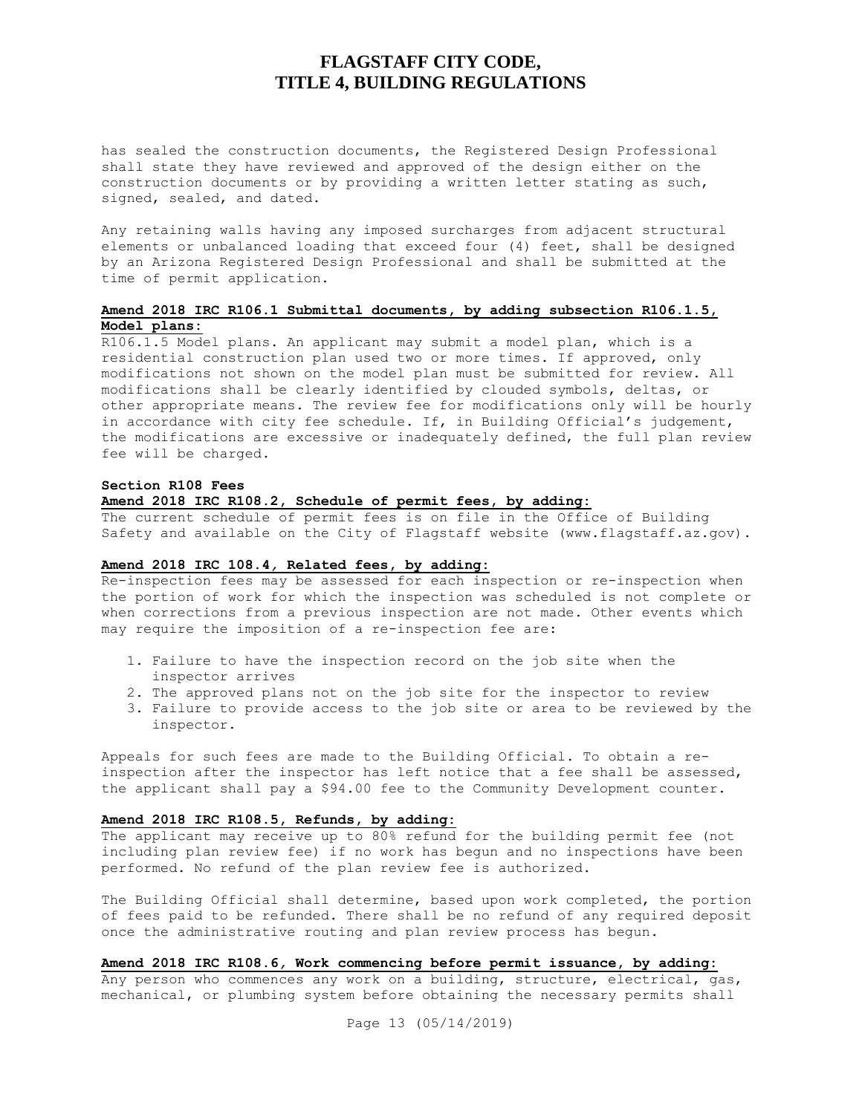has sealed the construction documents, the Registered Design Professional shall state they have reviewed and approved of the design either on the construction documents or by providing a written letter stating as such, signed, sealed, and dated.

Any retaining walls having any imposed surcharges from adjacent structural elements or unbalanced loading that exceed four (4) feet, shall be designed by an Arizona Registered Design Professional and shall be submitted at the time of permit application.

## **Amend 2018 IRC R106.1 Submittal documents, by adding subsection R106.1.5, Model plans:**

R106.1.5 Model plans. An applicant may submit a model plan, which is a residential construction plan used two or more times. If approved, only modifications not shown on the model plan must be submitted for review. All modifications shall be clearly identified by clouded symbols, deltas, or other appropriate means. The review fee for modifications only will be hourly in accordance with city fee schedule. If, in Building Official's judgement, the modifications are excessive or inadequately defined, the full plan review fee will be charged.

#### **Section R108 Fees**

#### **Amend 2018 IRC R108.2, Schedule of permit fees, by adding:**

The current schedule of permit fees is on file in the Office of Building Safety and available on the City of Flagstaff website (www.flagstaff.az.gov).

#### **Amend 2018 IRC 108.4***,* **Related fees, by adding:**

Re-inspection fees may be assessed for each inspection or re-inspection when the portion of work for which the inspection was scheduled is not complete or when corrections from a previous inspection are not made. Other events which may require the imposition of a re-inspection fee are:

- 1. Failure to have the inspection record on the job site when the inspector arrives
- 2. The approved plans not on the job site for the inspector to review
- 3. Failure to provide access to the job site or area to be reviewed by the inspector.

Appeals for such fees are made to the Building Official. To obtain a reinspection after the inspector has left notice that a fee shall be assessed, the applicant shall pay a \$94.00 fee to the Community Development counter.

#### **Amend 2018 IRC R108.5, Refunds, by adding:**

The applicant may receive up to 80% refund for the building permit fee (not including plan review fee) if no work has begun and no inspections have been performed. No refund of the plan review fee is authorized.

The Building Official shall determine, based upon work completed, the portion of fees paid to be refunded. There shall be no refund of any required deposit once the administrative routing and plan review process has begun.

#### **Amend 2018 IRC R108.6***,* **Work commencing before permit issuance, by adding:**

Any person who commences any work on a building, structure, electrical, gas, mechanical, or plumbing system before obtaining the necessary permits shall

Page 13 (05/14/2019)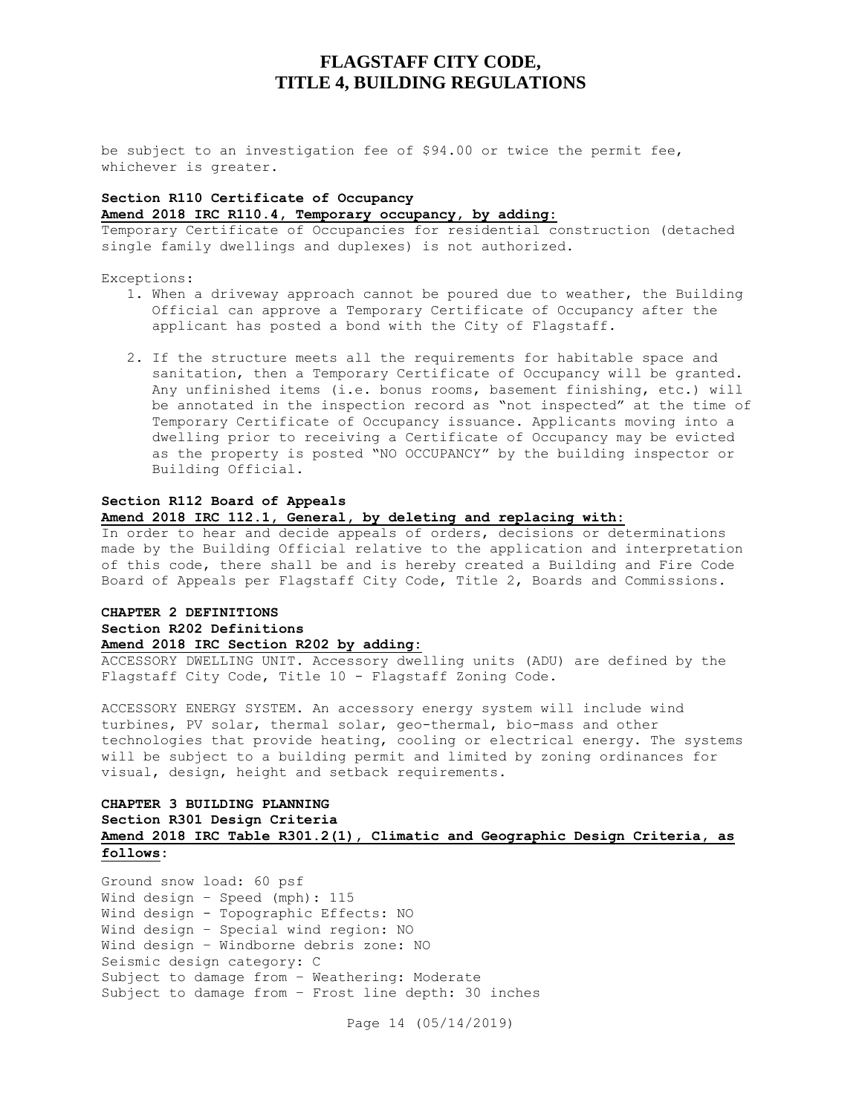be subject to an investigation fee of \$94.00 or twice the permit fee, whichever is greater.

## **Section R110 Certificate of Occupancy Amend 2018 IRC R110.4, Temporary occupancy, by adding:**

Temporary Certificate of Occupancies for residential construction (detached single family dwellings and duplexes) is not authorized.

Exceptions:

- 1. When a driveway approach cannot be poured due to weather, the Building Official can approve a Temporary Certificate of Occupancy after the applicant has posted a bond with the City of Flagstaff.
- 2. If the structure meets all the requirements for habitable space and sanitation, then a Temporary Certificate of Occupancy will be granted. Any unfinished items (i.e. bonus rooms, basement finishing, etc.) will be annotated in the inspection record as "not inspected" at the time of Temporary Certificate of Occupancy issuance. Applicants moving into a dwelling prior to receiving a Certificate of Occupancy may be evicted as the property is posted "NO OCCUPANCY" by the building inspector or Building Official.

#### **Section R112 Board of Appeals**

### **Amend 2018 IRC 112.1, General, by deleting and replacing with:**

In order to hear and decide appeals of orders, decisions or determinations made by the Building Official relative to the application and interpretation of this code, there shall be and is hereby created a Building and Fire Code Board of Appeals per Flagstaff City Code, Title 2, Boards and Commissions.

## **CHAPTER 2 DEFINITIONS Section R202 Definitions Amend 2018 IRC Section R202 by adding:**

ACCESSORY DWELLING UNIT**.** Accessory dwelling units (ADU) are defined by the Flagstaff City Code, Title 10 - Flagstaff Zoning Code.

ACCESSORY ENERGY SYSTEM. An accessory energy system will include wind turbines, PV solar, thermal solar, geo-thermal, bio-mass and other technologies that provide heating, cooling or electrical energy. The systems will be subject to a building permit and limited by zoning ordinances for visual, design, height and setback requirements.

## **CHAPTER 3 BUILDING PLANNING Section R301 Design Criteria Amend 2018 IRC Table R301.2(1), Climatic and Geographic Design Criteria, as follows:**

Ground snow load: 60 psf Wind design – Speed (mph): 115 Wind design - Topographic Effects: NO Wind design – Special wind region: NO Wind design – Windborne debris zone: NO Seismic design category: C Subject to damage from – Weathering: Moderate Subject to damage from – Frost line depth: 30 inches

Page 14 (05/14/2019)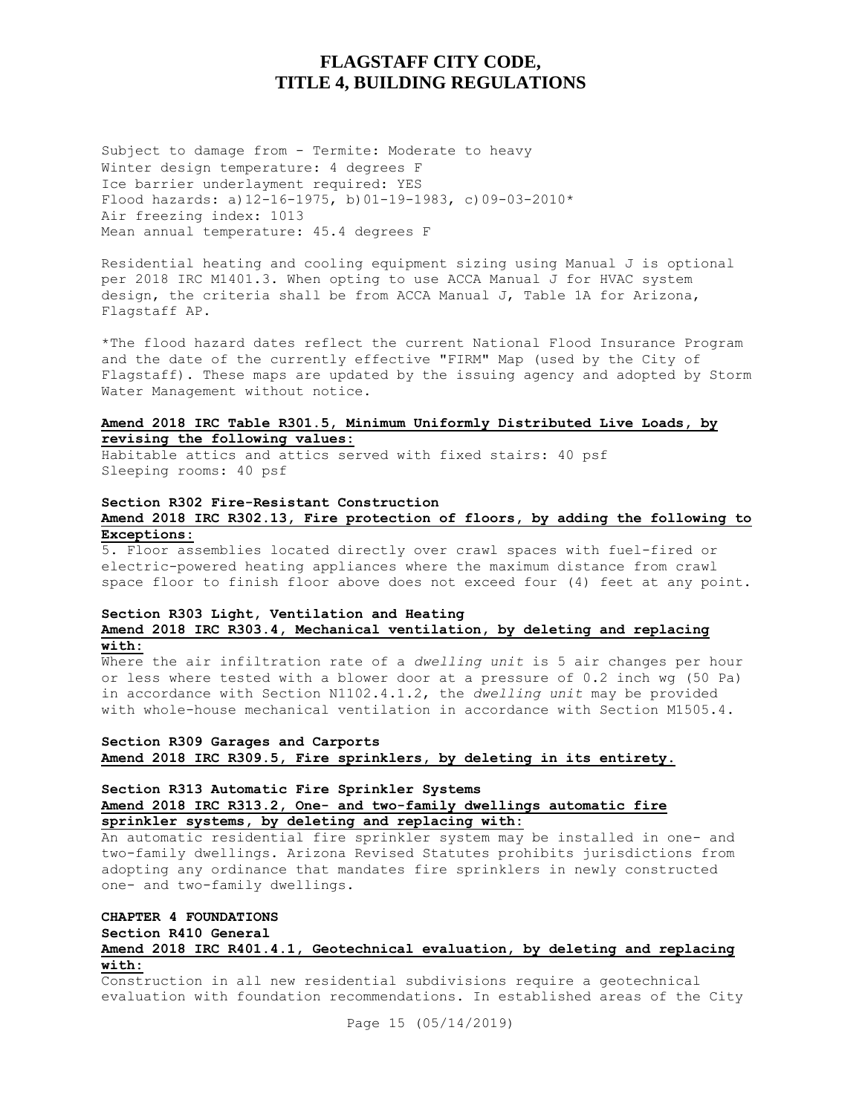Subject to damage from - Termite: Moderate to heavy Winter design temperature: 4 degrees F Ice barrier underlayment required: YES Flood hazards: a)12-16-1975, b)01-19-1983, c)09-03-2010\* Air freezing index: 1013 Mean annual temperature: 45.4 degrees F

Residential heating and cooling equipment sizing using Manual J is optional per 2018 IRC M1401.3. When opting to use ACCA Manual J for HVAC system design, the criteria shall be from ACCA Manual J, Table 1A for Arizona, Flagstaff AP.

\*The flood hazard dates reflect the current National Flood Insurance Program and the date of the currently effective "FIRM" Map (used by the City of Flagstaff). These maps are updated by the issuing agency and adopted by Storm Water Management without notice.

### **Amend 2018 IRC Table R301.5, Minimum Uniformly Distributed Live Loads, by revising the following values:**

Habitable attics and attics served with fixed stairs: 40 psf Sleeping rooms: 40 psf

## **Section R302 Fire-Resistant Construction Amend 2018 IRC R302.13, Fire protection of floors, by adding the following to Exceptions:**

5. Floor assemblies located directly over crawl spaces with fuel-fired or electric-powered heating appliances where the maximum distance from crawl space floor to finish floor above does not exceed four (4) feet at any point.

#### **Section R303 Light, Ventilation and Heating Amend 2018 IRC R303.4, Mechanical ventilation, by deleting and replacing with:**

Where the air infiltration rate of a *dwelling unit* is 5 air changes per hour or less where tested with a blower door at a pressure of 0.2 inch wg (50 Pa) in accordance with Section N1102.4.1.2, the *dwelling unit* may be provided with whole-house mechanical ventilation in accordance with Section M1505.4.

### **Section R309 Garages and Carports Amend 2018 IRC R309.5, Fire sprinklers, by deleting in its entirety.**

## **Section R313 Automatic Fire Sprinkler Systems Amend 2018 IRC R313.2, One- and two-family dwellings automatic fire**

**sprinkler systems, by deleting and replacing with:**

An automatic residential fire sprinkler system may be installed in one- and two-family dwellings. Arizona Revised Statutes prohibits jurisdictions from adopting any ordinance that mandates fire sprinklers in newly constructed one- and two-family dwellings.

## **CHAPTER 4 FOUNDATIONS Section R410 General Amend 2018 IRC R401.4.1, Geotechnical evaluation, by deleting and replacing with:**

Construction in all new residential subdivisions require a geotechnical evaluation with foundation recommendations. In established areas of the City

Page 15 (05/14/2019)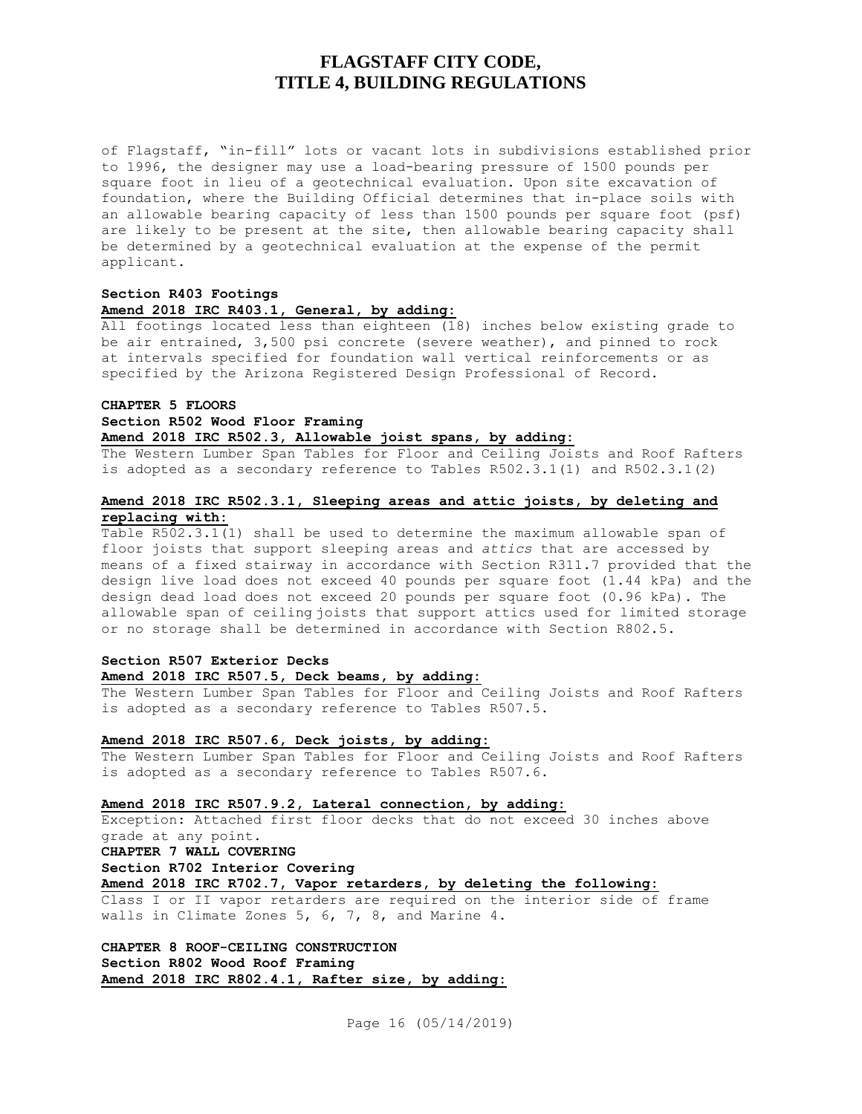of Flagstaff, "in-fill" lots or vacant lots in subdivisions established prior to 1996, the designer may use a load-bearing pressure of 1500 pounds per square foot in lieu of a geotechnical evaluation. Upon site excavation of foundation, where the Building Official determines that in-place soils with an allowable bearing capacity of less than 1500 pounds per square foot (psf) are likely to be present at the site, then allowable bearing capacity shall be determined by a geotechnical evaluation at the expense of the permit applicant.

### **Section R403 Footings Amend 2018 IRC R403.1, General, by adding:**

All footings located less than eighteen (18) inches below existing grade to be air entrained, 3,500 psi concrete (severe weather), and pinned to rock at intervals specified for foundation wall vertical reinforcements or as specified by the Arizona Registered Design Professional of Record.

## **CHAPTER 5 FLOORS Section R502 Wood Floor Framing Amend 2018 IRC R502.3, Allowable joist spans, by adding:**

The Western Lumber Span Tables for Floor and Ceiling Joists and Roof Rafters is adopted as a secondary reference to Tables R502.3.1(1) and R502.3.1(2)

## **Amend 2018 IRC R502.3.1, Sleeping areas and attic joists, by deleting and replacing with:**

Table R502.3.1(1) shall be used to determine the maximum allowable span of floor joists that support sleeping areas and *attics* that are accessed by means of a fixed stairway in accordance with Section R311.7 provided that the design live load does not exceed 40 pounds per square foot (1.44 kPa) and the design dead load does not exceed 20 pounds per square foot (0.96 kPa). The allowable span of ceiling joists that support attics used for limited storage or no storage shall be determined in accordance with Section R802.5.

## **Section R507 Exterior Decks Amend 2018 IRC R507.5, Deck beams, by adding:**

The Western Lumber Span Tables for Floor and Ceiling Joists and Roof Rafters is adopted as a secondary reference to Tables R507.5.

#### **Amend 2018 IRC R507.6, Deck joists, by adding:**

The Western Lumber Span Tables for Floor and Ceiling Joists and Roof Rafters is adopted as a secondary reference to Tables R507.6.

#### **Amend 2018 IRC R507.9.2, Lateral connection, by adding:**

Exception: Attached first floor decks that do not exceed 30 inches above grade at any point.

## **CHAPTER 7 WALL COVERING**

**Section R702 Interior Covering**

**Amend 2018 IRC R702.7, Vapor retarders, by deleting the following:**

Class I or II vapor retarders are required on the interior side of frame walls in Climate Zones 5, 6, 7, 8, and Marine 4.

**CHAPTER 8 ROOF-CEILING CONSTRUCTION Section R802 Wood Roof Framing Amend 2018 IRC R802.4.1, Rafter size, by adding:**

Page 16 (05/14/2019)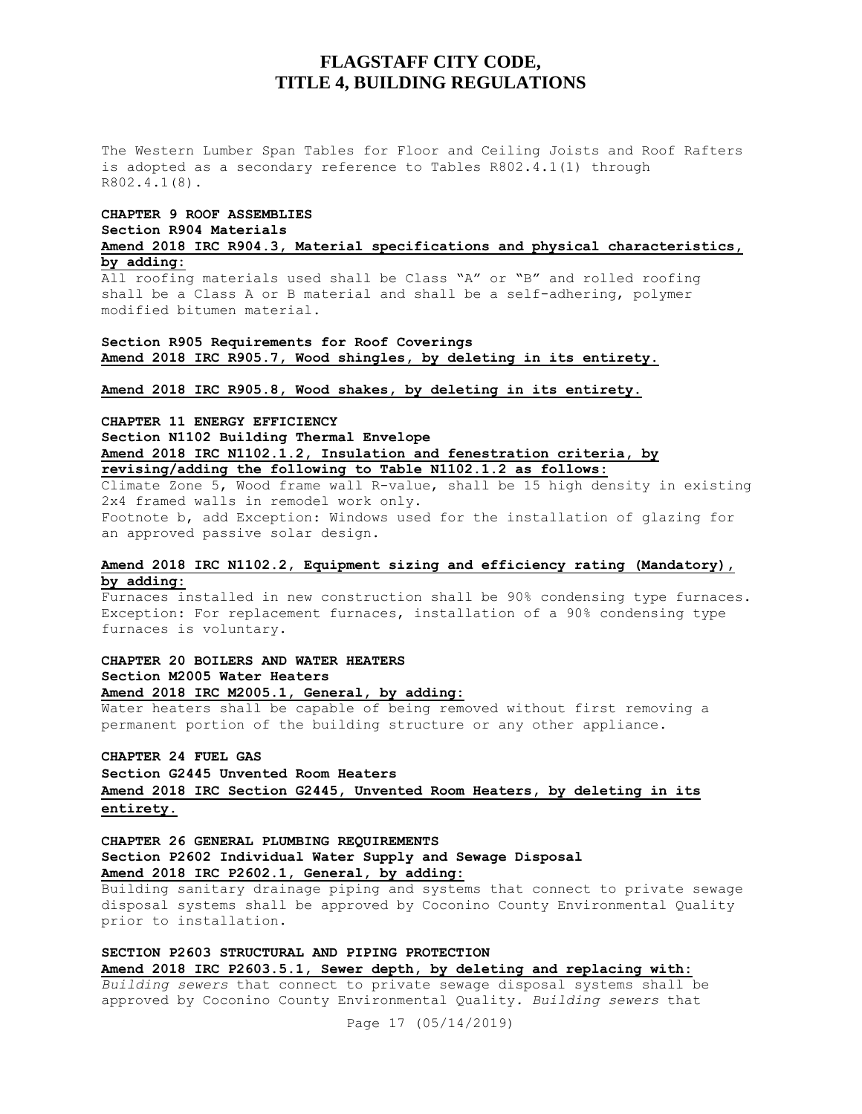The Western Lumber Span Tables for Floor and Ceiling Joists and Roof Rafters is adopted as a secondary reference to Tables R802.4.1(1) through R802.4.1(8).

#### **CHAPTER 9 ROOF ASSEMBLIES Section R904 Materials**

**Amend 2018 IRC R904.3, Material specifications and physical characteristics, by adding:**

All roofing materials used shall be Class "A" or "B" and rolled roofing shall be a Class A or B material and shall be a self-adhering, polymer modified bitumen material.

### **Section R905 Requirements for Roof Coverings Amend 2018 IRC R905.7, Wood shingles, by deleting in its entirety.**

**Amend 2018 IRC R905.8, Wood shakes, by deleting in its entirety.**

**CHAPTER 11 ENERGY EFFICIENCY Section N1102 Building Thermal Envelope Amend 2018 IRC N1102.1.2, Insulation and fenestration criteria, by revising/adding the following to Table N1102.1.2 as follows:**

Climate Zone 5, Wood frame wall R-value, shall be 15 high density in existing 2x4 framed walls in remodel work only. Footnote b, add Exception: Windows used for the installation of glazing for an approved passive solar design.

#### **Amend 2018 IRC N1102.2, Equipment sizing and efficiency rating (Mandatory), by adding:**

Furnaces installed in new construction shall be 90% condensing type furnaces. Exception: For replacement furnaces, installation of a 90% condensing type furnaces is voluntary.

## **CHAPTER 20 BOILERS AND WATER HEATERS Section M2005 Water Heaters Amend 2018 IRC M2005.1, General, by adding:**

Water heaters shall be capable of being removed without first removing a permanent portion of the building structure or any other appliance.

**CHAPTER 24 FUEL GAS**

**Section G2445 Unvented Room Heaters Amend 2018 IRC Section G2445, Unvented Room Heaters, by deleting in its entirety.**

**CHAPTER 26 GENERAL PLUMBING REQUIREMENTS Section P2602 Individual Water Supply and Sewage Disposal Amend 2018 IRC P2602.1, General, by adding:**

Building sanitary drainage piping and systems that connect to private sewage disposal systems shall be approved by Coconino County Environmental Quality prior to installation.

**SECTION P2603 STRUCTURAL AND PIPING PROTECTION Amend 2018 IRC P2603.5.1, Sewer depth, by deleting and replacing with:**

*Building sewers* that connect to private sewage disposal systems shall be approved by Coconino County Environmental Quality*. Building sewers* that

Page 17 (05/14/2019)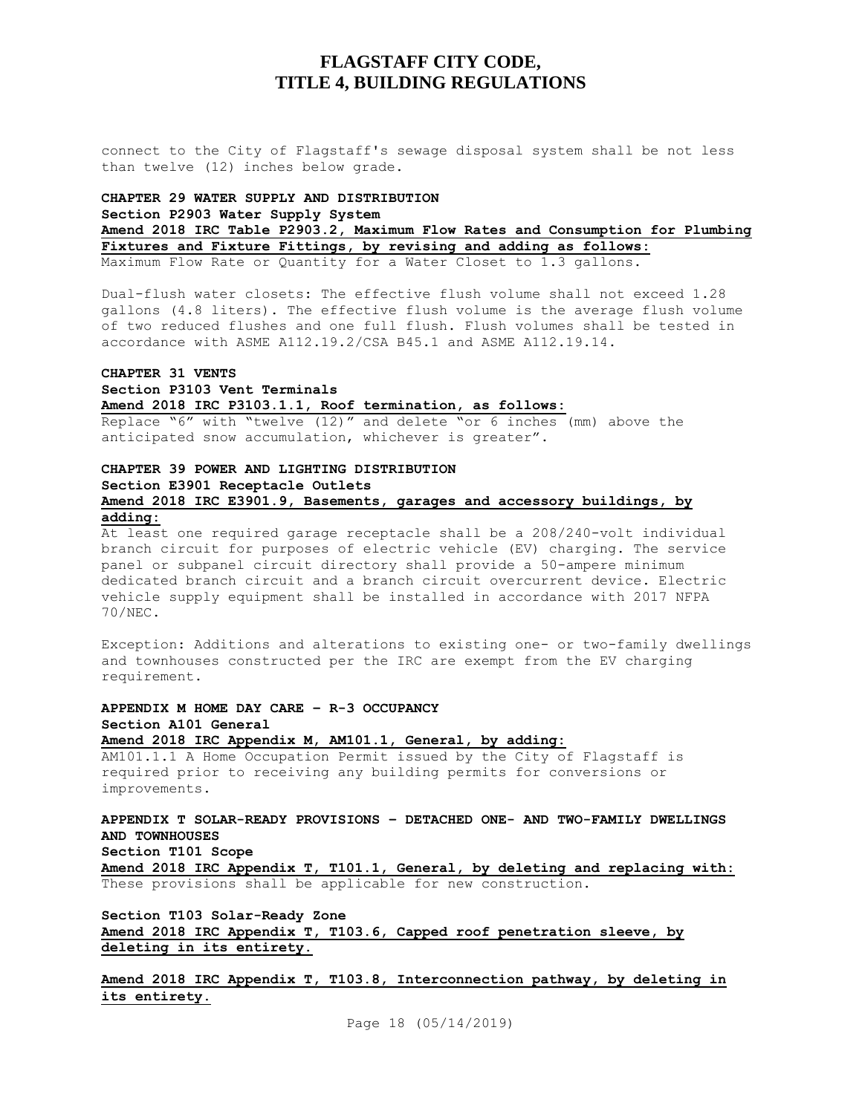connect to the City of Flagstaff's sewage disposal system shall be not less than twelve (12) inches below grade.

## **CHAPTER 29 WATER SUPPLY AND DISTRIBUTION Section P2903 Water Supply System Amend 2018 IRC Table P2903.2, Maximum Flow Rates and Consumption for Plumbing Fixtures and Fixture Fittings, by revising and adding as follows:** Maximum Flow Rate or Quantity for a Water Closet to 1.3 gallons.

Dual-flush water closets: The effective flush volume shall not exceed 1.28 gallons (4.8 liters). The effective flush volume is the average flush volume of two reduced flushes and one full flush. Flush volumes shall be tested in accordance with ASME A112.19.2/CSA B45.1 and ASME A112.19.14.

## **CHAPTER 31 VENTS Section P3103 Vent Terminals Amend 2018 IRC P3103.1.1, Roof termination, as follows:**

Replace "6" with "twelve (12)" and delete "or 6 inches (mm) above the anticipated snow accumulation, whichever is greater".

## **CHAPTER 39 POWER AND LIGHTING DISTRIBUTION Section E3901 Receptacle Outlets Amend 2018 IRC E3901.9, Basements, garages and accessory buildings, by adding:**

At least one required garage receptacle shall be a 208/240-volt individual branch circuit for purposes of electric vehicle (EV) charging. The service panel or subpanel circuit directory shall provide a 50-ampere minimum dedicated branch circuit and a branch circuit overcurrent device. Electric vehicle supply equipment shall be installed in accordance with 2017 NFPA 70/NEC.

Exception: Additions and alterations to existing one- or two-family dwellings and townhouses constructed per the IRC are exempt from the EV charging requirement.

### **APPENDIX M HOME DAY CARE – R-3 OCCUPANCY Section A101 General Amend 2018 IRC Appendix M, AM101.1, General, by adding:**

AM101.1.1 A Home Occupation Permit issued by the City of Flagstaff is required prior to receiving any building permits for conversions or improvements.

## **APPENDIX T SOLAR-READY PROVISIONS – DETACHED ONE- AND TWO-FAMILY DWELLINGS AND TOWNHOUSES Section T101 Scope**

**Amend 2018 IRC Appendix T, T101.1, General, by deleting and replacing with:** These provisions shall be applicable for new construction.

**Section T103 Solar-Ready Zone Amend 2018 IRC Appendix T, T103.6, Capped roof penetration sleeve, by deleting in its entirety.**

**Amend 2018 IRC Appendix T, T103.8, Interconnection pathway, by deleting in its entirety.**

Page 18 (05/14/2019)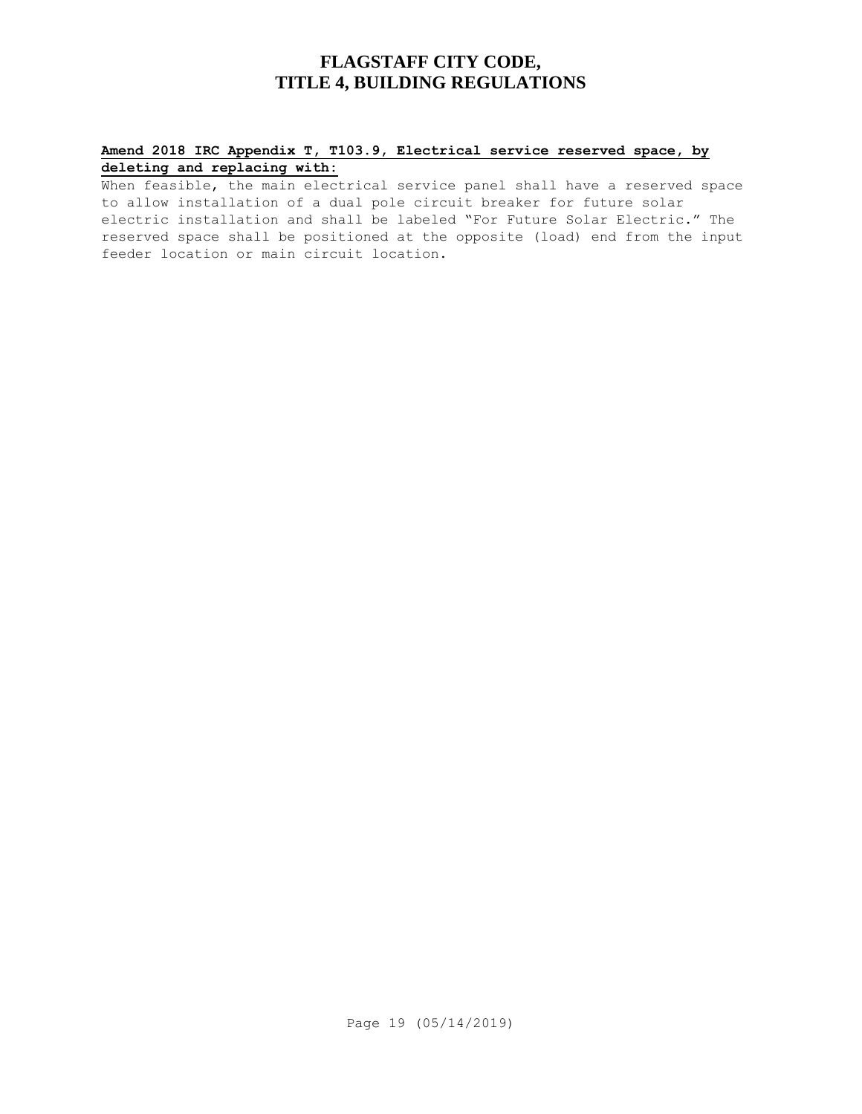## **Amend 2018 IRC Appendix T, T103.9, Electrical service reserved space, by deleting and replacing with:**

When feasible, the main electrical service panel shall have a reserved space to allow installation of a dual pole circuit breaker for future solar electric installation and shall be labeled "For Future Solar Electric." The reserved space shall be positioned at the opposite (load) end from the input feeder location or main circuit location.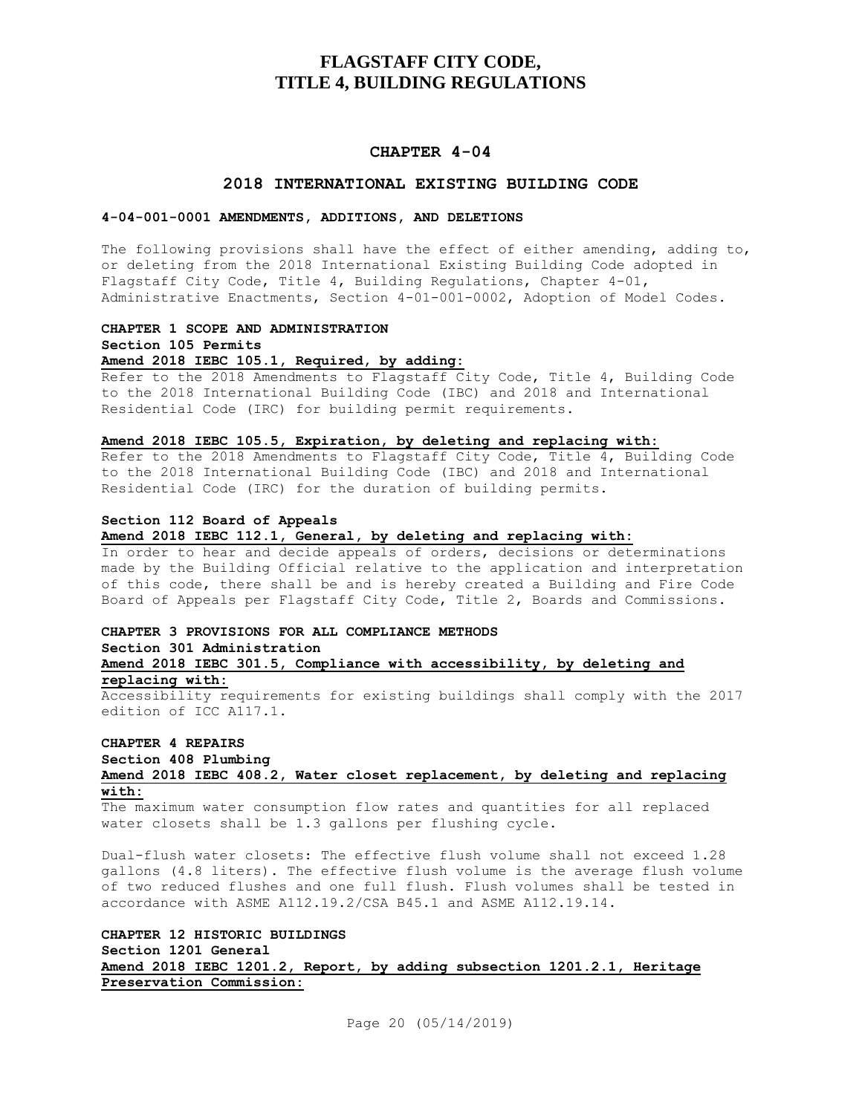#### **CHAPTER 4-04**

### **2018 INTERNATIONAL EXISTING BUILDING CODE**

### **4-04-001-0001 AMENDMENTS, ADDITIONS, AND DELETIONS**

The following provisions shall have the effect of either amending, adding to, or deleting from the 2018 International Existing Building Code adopted in Flagstaff City Code, Title 4, Building Regulations, Chapter 4-01, Administrative Enactments, Section 4-01-001-0002, Adoption of Model Codes.

### **CHAPTER 1 SCOPE AND ADMINISTRATION Section 105 Permits Amend 2018 IEBC 105.1, Required, by adding:**

Refer to the 2018 Amendments to Flagstaff City Code, Title 4, Building Code to the 2018 International Building Code (IBC) and 2018 and International Residential Code (IRC) for building permit requirements.

#### **Amend 2018 IEBC 105.5, Expiration, by deleting and replacing with:**

Refer to the 2018 Amendments to Flagstaff City Code, Title 4, Building Code to the 2018 International Building Code (IBC) and 2018 and International Residential Code (IRC) for the duration of building permits.

#### **Section 112 Board of Appeals**

#### **Amend 2018 IEBC 112.1, General, by deleting and replacing with:**

In order to hear and decide appeals of orders, decisions or determinations made by the Building Official relative to the application and interpretation of this code, there shall be and is hereby created a Building and Fire Code Board of Appeals per Flagstaff City Code, Title 2, Boards and Commissions.

### **CHAPTER 3 PROVISIONS FOR ALL COMPLIANCE METHODS Section 301 Administration Amend 2018 IEBC 301.5, Compliance with accessibility, by deleting and replacing with:**

Accessibility requirements for existing buildings shall comply with the 2017 edition of ICC A117.1.

#### **CHAPTER 4 REPAIRS Section 408 Plumbing**

### **Amend 2018 IEBC 408.2, Water closet replacement, by deleting and replacing with:**

The maximum water consumption flow rates and quantities for all replaced water closets shall be 1.3 gallons per flushing cycle.

Dual-flush water closets: The effective flush volume shall not exceed 1.28 gallons (4.8 liters). The effective flush volume is the average flush volume of two reduced flushes and one full flush. Flush volumes shall be tested in accordance with ASME A112.19.2/CSA B45.1 and ASME A112.19.14.

## **CHAPTER 12 HISTORIC BUILDINGS Section 1201 General Amend 2018 IEBC 1201.2, Report, by adding subsection 1201.2.1, Heritage Preservation Commission:**

Page 20 (05/14/2019)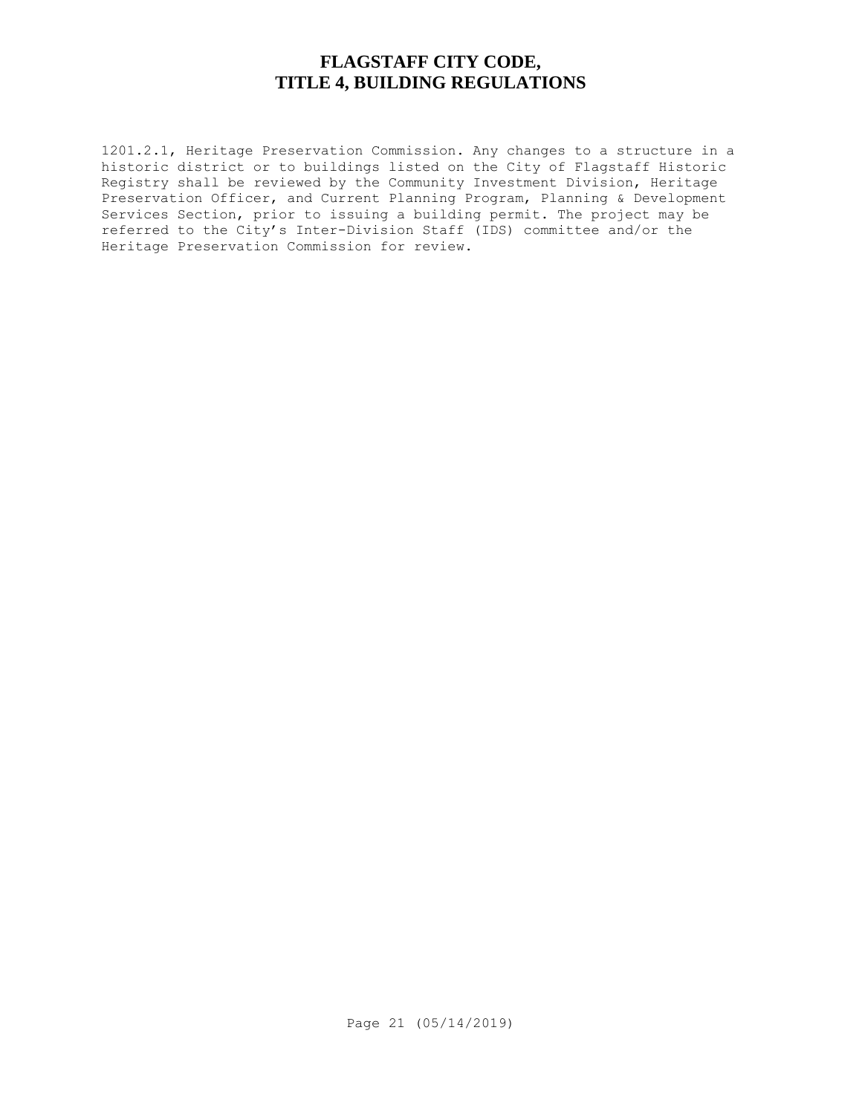1201.2.1, Heritage Preservation Commission. Any changes to a structure in a historic district or to buildings listed on the City of Flagstaff Historic Registry shall be reviewed by the Community Investment Division, Heritage Preservation Officer, and Current Planning Program, Planning & Development Services Section, prior to issuing a building permit. The project may be referred to the City's Inter-Division Staff (IDS) committee and/or the Heritage Preservation Commission for review.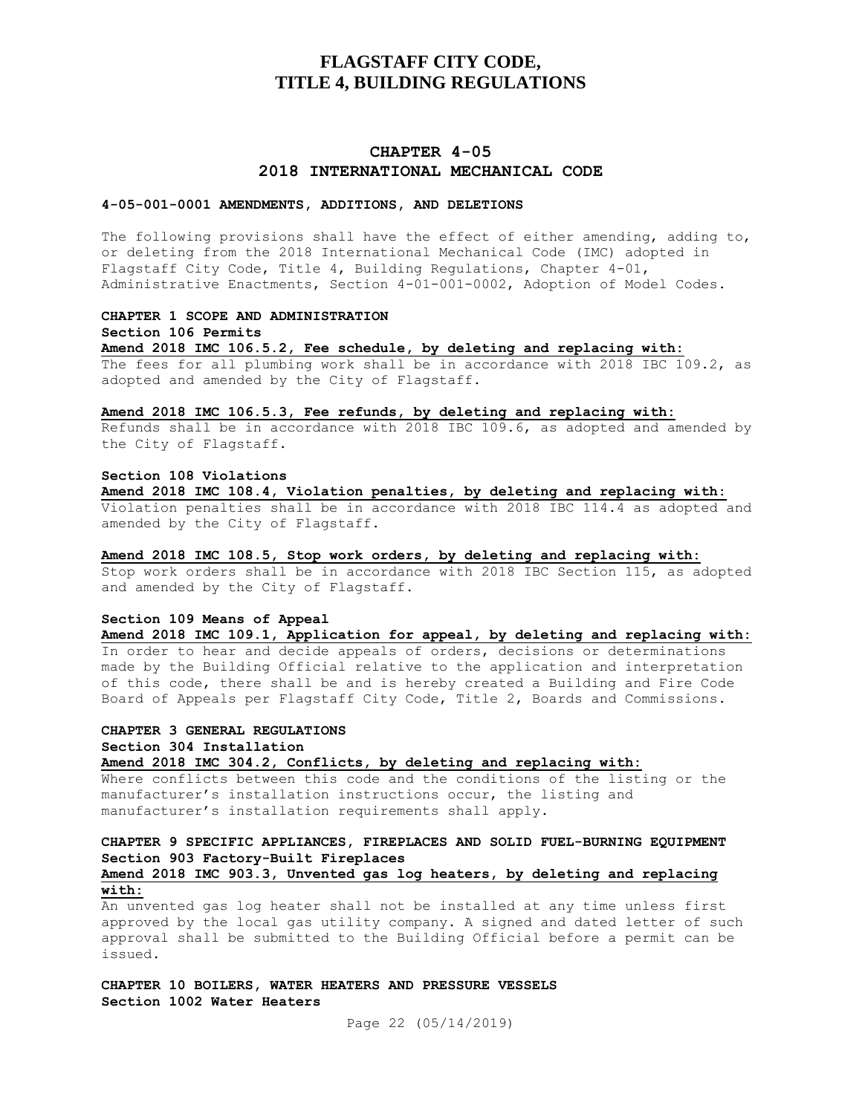## **CHAPTER 4-05 2018 INTERNATIONAL MECHANICAL CODE**

#### **4-05-001-0001 AMENDMENTS, ADDITIONS, AND DELETIONS**

The following provisions shall have the effect of either amending, adding to, or deleting from the 2018 International Mechanical Code (IMC) adopted in Flagstaff City Code, Title 4, Building Regulations, Chapter 4-01, Administrative Enactments, Section 4-01-001-0002, Adoption of Model Codes.

### **CHAPTER 1 SCOPE AND ADMINISTRATION**

**Section 106 Permits**

**Amend 2018 IMC 106.5.2, Fee schedule, by deleting and replacing with:** The fees for all plumbing work shall be in accordance with 2018 IBC 109.2, as adopted and amended by the City of Flagstaff.

#### **Amend 2018 IMC 106.5.3, Fee refunds, by deleting and replacing with:**

Refunds shall be in accordance with 2018 IBC 109.6, as adopted and amended by the City of Flagstaff.

#### **Section 108 Violations**

**Amend 2018 IMC 108.4, Violation penalties, by deleting and replacing with:** Violation penalties shall be in accordance with 2018 IBC 114.4 as adopted and amended by the City of Flagstaff.

#### **Amend 2018 IMC 108.5, Stop work orders, by deleting and replacing with:**

Stop work orders shall be in accordance with 2018 IBC Section 115, as adopted and amended by the City of Flagstaff.

#### **Section 109 Means of Appeal**

**Amend 2018 IMC 109.1, Application for appeal, by deleting and replacing with:** In order to hear and decide appeals of orders, decisions or determinations made by the Building Official relative to the application and interpretation of this code, there shall be and is hereby created a Building and Fire Code Board of Appeals per Flagstaff City Code, Title 2, Boards and Commissions.

## **CHAPTER 3 GENERAL REGULATIONS**

**Section 304 Installation**

**Amend 2018 IMC 304.2, Conflicts, by deleting and replacing with:**

Where conflicts between this code and the conditions of the listing or the manufacturer's installation instructions occur, the listing and manufacturer's installation requirements shall apply.

## **CHAPTER 9 SPECIFIC APPLIANCES, FIREPLACES AND SOLID FUEL-BURNING EQUIPMENT Section 903 Factory-Built Fireplaces**

## **Amend 2018 IMC 903.3, Unvented gas log heaters, by deleting and replacing with:**

An unvented gas log heater shall not be installed at any time unless first approved by the local gas utility company. A signed and dated letter of such approval shall be submitted to the Building Official before a permit can be issued.

**CHAPTER 10 BOILERS, WATER HEATERS AND PRESSURE VESSELS Section 1002 Water Heaters**

Page 22 (05/14/2019)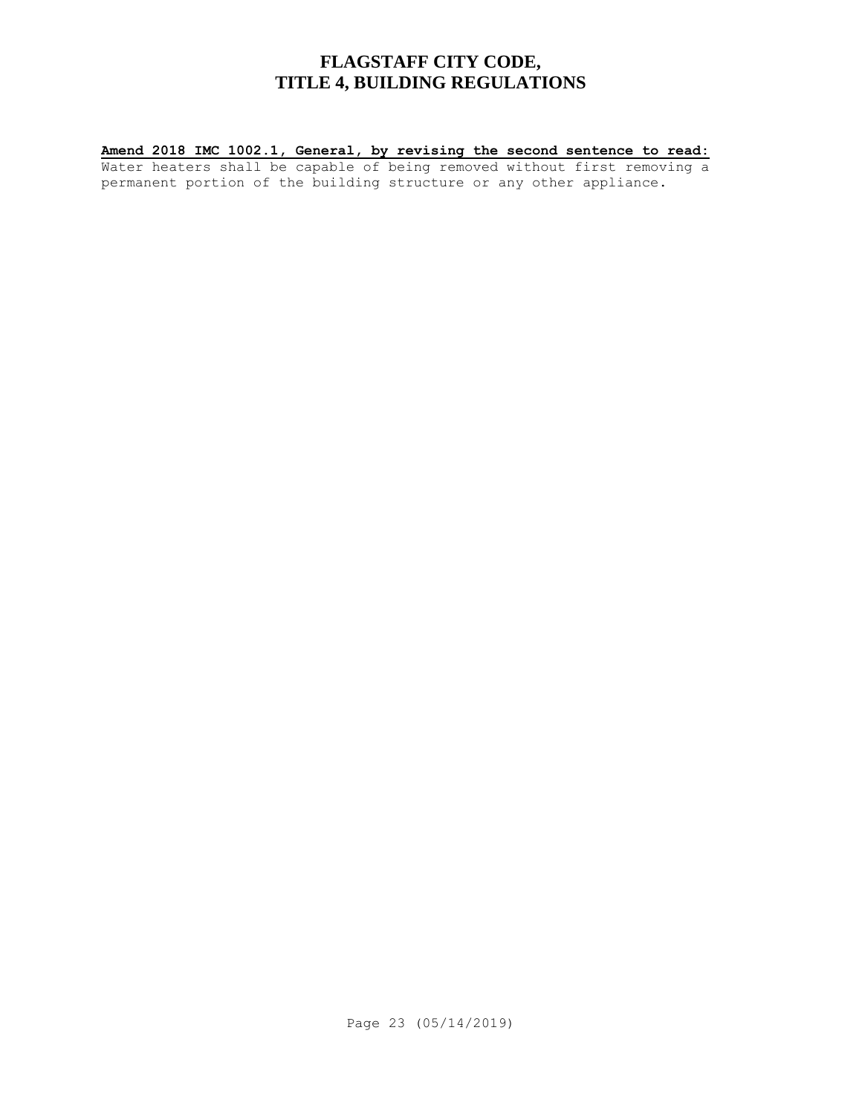## **Amend 2018 IMC 1002.1, General, by revising the second sentence to read:**

Water heaters shall be capable of being removed without first removing a permanent portion of the building structure or any other appliance.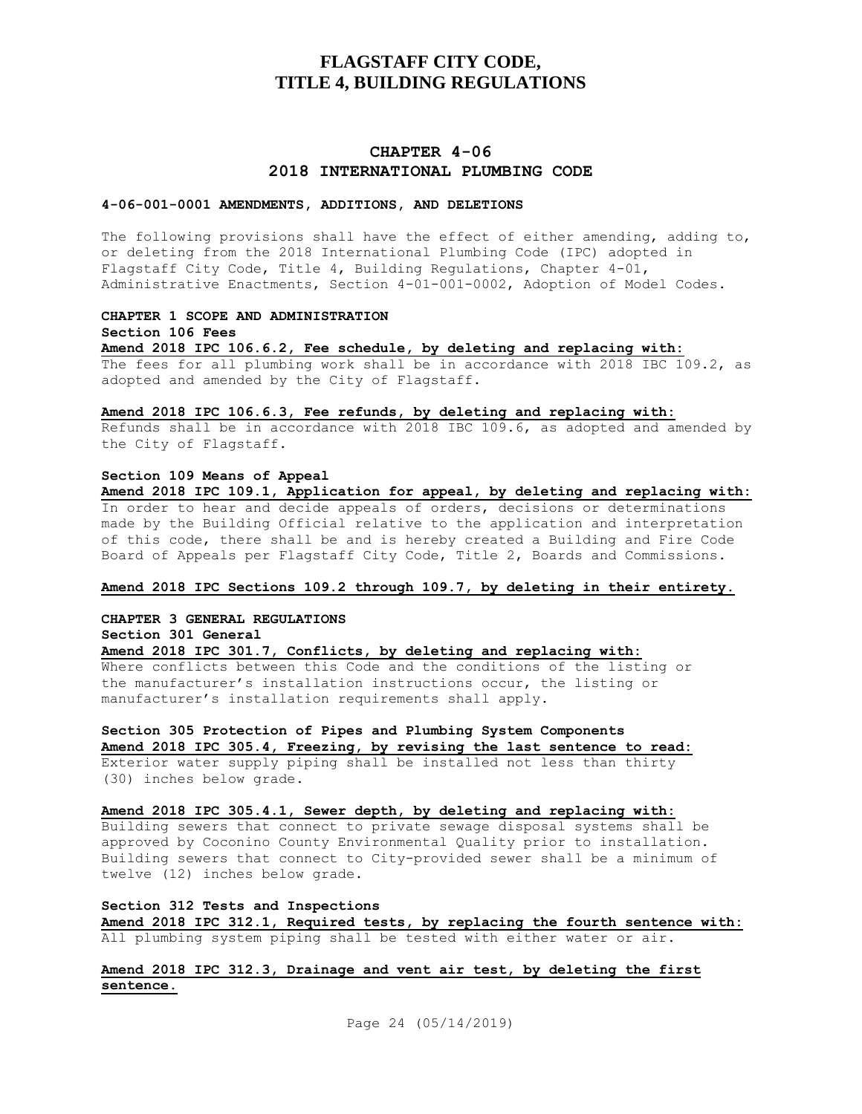## **CHAPTER 4-06 2018 INTERNATIONAL PLUMBING CODE**

#### **4-06-001-0001 AMENDMENTS, ADDITIONS, AND DELETIONS**

The following provisions shall have the effect of either amending, adding to, or deleting from the 2018 International Plumbing Code (IPC) adopted in Flagstaff City Code, Title 4, Building Regulations, Chapter 4-01, Administrative Enactments, Section 4-01-001-0002, Adoption of Model Codes.

#### **CHAPTER 1 SCOPE AND ADMINISTRATION**

**Section 106 Fees**

**Amend 2018 IPC 106.6.2, Fee schedule, by deleting and replacing with:** The fees for all plumbing work shall be in accordance with 2018 IBC 109.2, as adopted and amended by the City of Flagstaff.

#### **Amend 2018 IPC 106.6.3, Fee refunds, by deleting and replacing with:**

Refunds shall be in accordance with 2018 IBC 109.6, as adopted and amended by the City of Flagstaff.

#### **Section 109 Means of Appeal**

**Amend 2018 IPC 109.1, Application for appeal, by deleting and replacing with:** In order to hear and decide appeals of orders, decisions or determinations made by the Building Official relative to the application and interpretation of this code, there shall be and is hereby created a Building and Fire Code Board of Appeals per Flagstaff City Code, Title 2, Boards and Commissions.

## **Amend 2018 IPC Sections 109.2 through 109.7, by deleting in their entirety.**

**CHAPTER 3 GENERAL REGULATIONS Section 301 General**

**Amend 2018 IPC 301.7, Conflicts, by deleting and replacing with:** Where conflicts between this Code and the conditions of the listing or the manufacturer's installation instructions occur, the listing or manufacturer's installation requirements shall apply.

#### **Section 305 Protection of Pipes and Plumbing System Components Amend 2018 IPC 305.4, Freezing, by revising the last sentence to read:**

Exterior water supply piping shall be installed not less than thirty (30) inches below grade.

## **Amend 2018 IPC 305.4.1, Sewer depth, by deleting and replacing with:**

Building sewers that connect to private sewage disposal systems shall be approved by Coconino County Environmental Quality prior to installation. Building sewers that connect to City-provided sewer shall be a minimum of twelve (12) inches below grade.

### **Section 312 Tests and Inspections**

**Amend 2018 IPC 312.1, Required tests, by replacing the fourth sentence with:** All plumbing system piping shall be tested with either water or air.

## **Amend 2018 IPC 312.3, Drainage and vent air test, by deleting the first sentence.**

Page 24 (05/14/2019)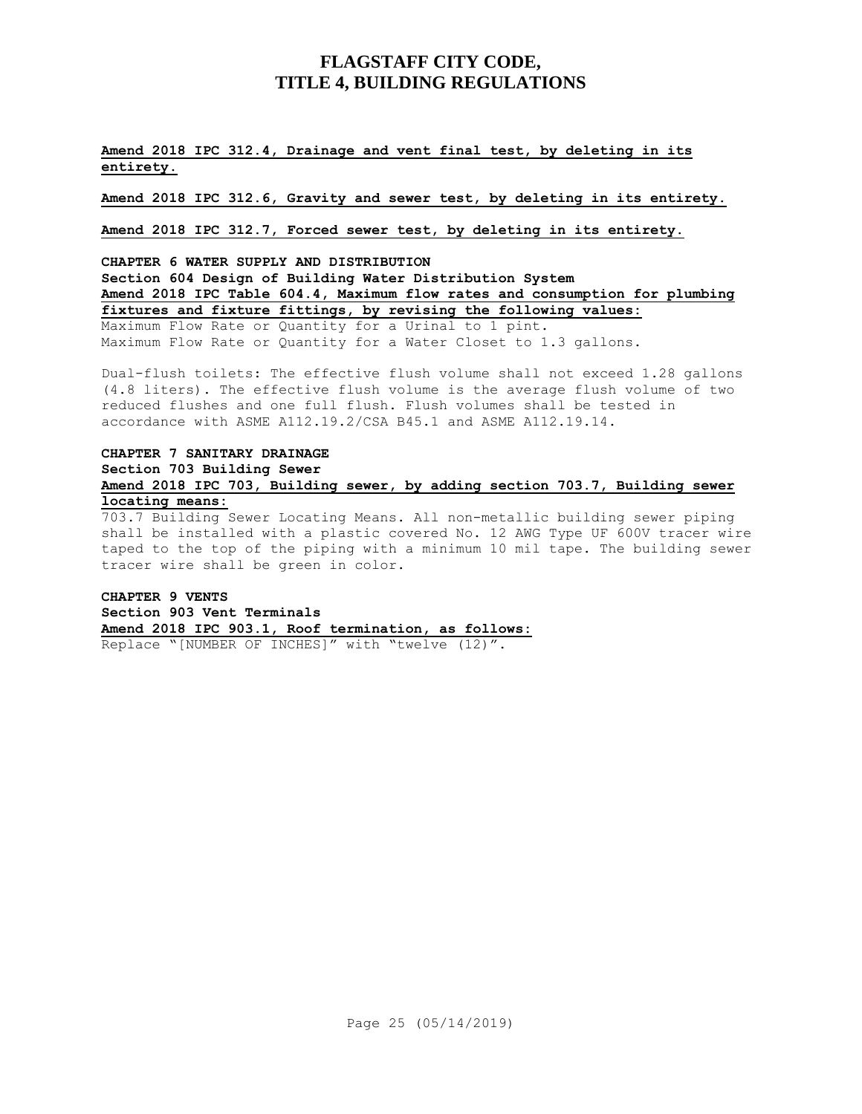## **Amend 2018 IPC 312.4, Drainage and vent final test, by deleting in its entirety.**

**Amend 2018 IPC 312.6, Gravity and sewer test, by deleting in its entirety.**

**Amend 2018 IPC 312.7, Forced sewer test, by deleting in its entirety.**

**CHAPTER 6 WATER SUPPLY AND DISTRIBUTION Section 604 Design of Building Water Distribution System Amend 2018 IPC Table 604.4, Maximum flow rates and consumption for plumbing fixtures and fixture fittings, by revising the following values:** Maximum Flow Rate or Quantity for a Urinal to 1 pint. Maximum Flow Rate or Quantity for a Water Closet to 1.3 gallons.

Dual-flush toilets: The effective flush volume shall not exceed 1.28 gallons (4.8 liters). The effective flush volume is the average flush volume of two reduced flushes and one full flush. Flush volumes shall be tested in accordance with ASME A112.19.2/CSA B45.1 and ASME A112.19.14.

### **CHAPTER 7 SANITARY DRAINAGE Section 703 Building Sewer Amend 2018 IPC 703, Building sewer, by adding section 703.7, Building sewer locating means:**

703.7 Building Sewer Locating Means. All non-metallic building sewer piping shall be installed with a plastic covered No. 12 AWG Type UF 600V tracer wire taped to the top of the piping with a minimum 10 mil tape. The building sewer tracer wire shall be green in color.

### **CHAPTER 9 VENTS Section 903 Vent Terminals Amend 2018 IPC 903.1, Roof termination, as follows:** Replace "[NUMBER OF INCHES]" with "twelve (12)".

Page 25 (05/14/2019)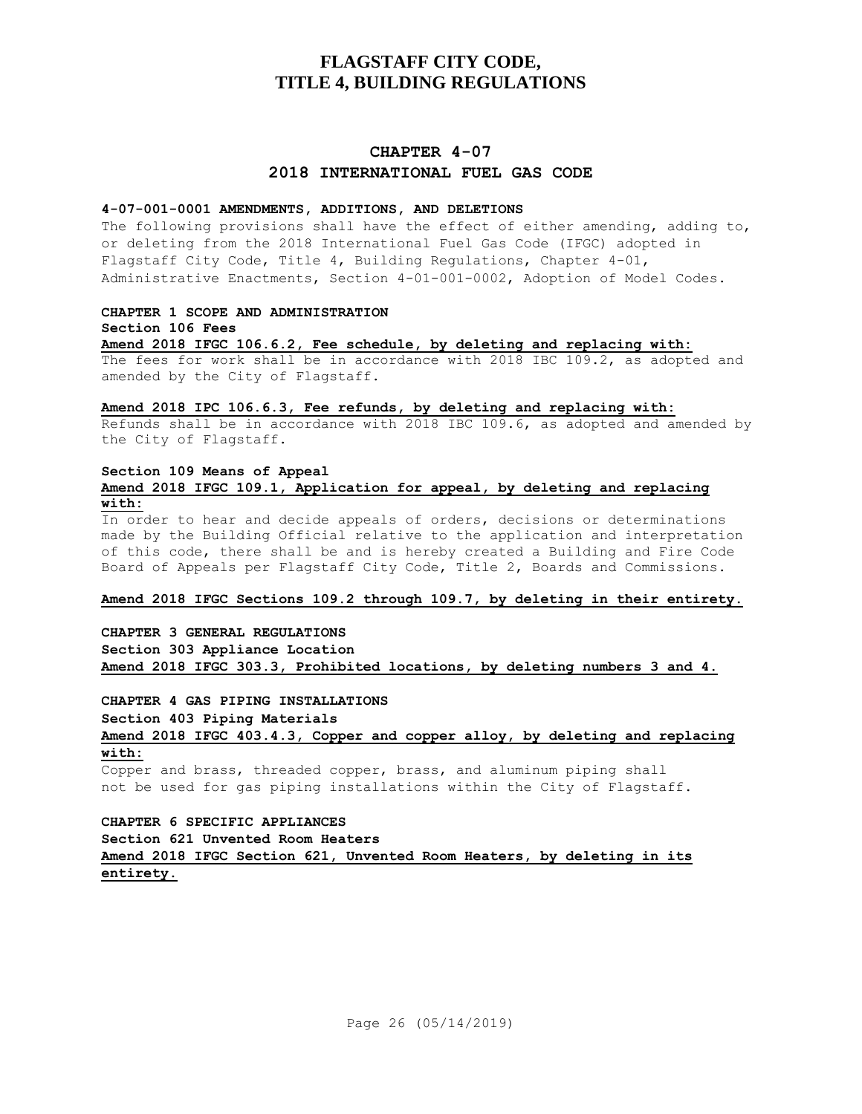## **CHAPTER 4-07 2018 INTERNATIONAL FUEL GAS CODE**

## **4-07-001-0001 AMENDMENTS, ADDITIONS, AND DELETIONS**

The following provisions shall have the effect of either amending, adding to, or deleting from the 2018 International Fuel Gas Code (IFGC) adopted in Flagstaff City Code, Title 4, Building Regulations, Chapter 4-01, Administrative Enactments, Section 4-01-001-0002, Adoption of Model Codes.

#### **CHAPTER 1 SCOPE AND ADMINISTRATION**

**Section 106 Fees Amend 2018 IFGC 106.6.2, Fee schedule, by deleting and replacing with:** The fees for work shall be in accordance with 2018 IBC 109.2, as adopted and amended by the City of Flagstaff.

## **Amend 2018 IPC 106.6.3, Fee refunds, by deleting and replacing with:**

Refunds shall be in accordance with 2018 IBC 109.6, as adopted and amended by the City of Flagstaff.

## **Section 109 Means of Appeal Amend 2018 IFGC 109.1, Application for appeal, by deleting and replacing with:**

In order to hear and decide appeals of orders, decisions or determinations made by the Building Official relative to the application and interpretation of this code, there shall be and is hereby created a Building and Fire Code Board of Appeals per Flagstaff City Code, Title 2, Boards and Commissions.

#### **Amend 2018 IFGC Sections 109.2 through 109.7, by deleting in their entirety.**

**CHAPTER 3 GENERAL REGULATIONS Section 303 Appliance Location Amend 2018 IFGC 303.3, Prohibited locations, by deleting numbers 3 and 4.**

**CHAPTER 4 GAS PIPING INSTALLATIONS Section 403 Piping Materials Amend 2018 IFGC 403.4.3, Copper and copper alloy, by deleting and replacing with:**

Copper and brass, threaded copper, brass, and aluminum piping shall not be used for gas piping installations within the City of Flagstaff.

**CHAPTER 6 SPECIFIC APPLIANCES Section 621 Unvented Room Heaters Amend 2018 IFGC Section 621, Unvented Room Heaters, by deleting in its entirety.**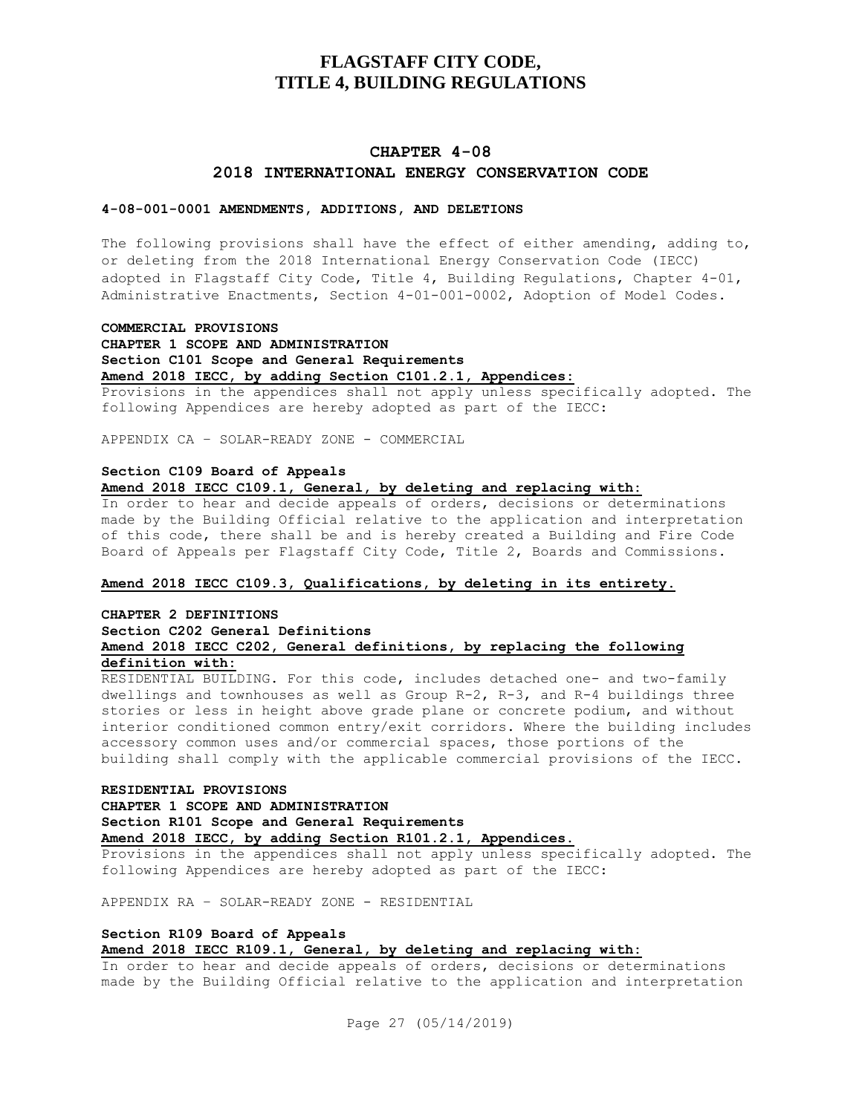## **CHAPTER 4-08 2018 INTERNATIONAL ENERGY CONSERVATION CODE**

### **4-08-001-0001 AMENDMENTS, ADDITIONS, AND DELETIONS**

The following provisions shall have the effect of either amending, adding to, or deleting from the 2018 International Energy Conservation Code (IECC) adopted in Flagstaff City Code, Title 4, Building Regulations, Chapter 4-01, Administrative Enactments, Section 4-01-001-0002, Adoption of Model Codes.

#### **COMMERCIAL PROVISIONS**

## **CHAPTER 1 SCOPE AND ADMINISTRATION**

**Section C101 Scope and General Requirements**

**Amend 2018 IECC, by adding Section C101.2.1, Appendices:**

Provisions in the appendices shall not apply unless specifically adopted. The following Appendices are hereby adopted as part of the IECC:

APPENDIX CA – SOLAR-READY ZONE - COMMERCIAL

#### **Section C109 Board of Appeals**

**Amend 2018 IECC C109.1, General, by deleting and replacing with:**

In order to hear and decide appeals of orders, decisions or determinations made by the Building Official relative to the application and interpretation of this code, there shall be and is hereby created a Building and Fire Code Board of Appeals per Flagstaff City Code, Title 2, Boards and Commissions.

#### **Amend 2018 IECC C109.3, Qualifications, by deleting in its entirety.**

#### **CHAPTER 2 DEFINITIONS**

#### **Section C202 General Definitions Amend 2018 IECC C202, General definitions, by replacing the following definition with:**

RESIDENTIAL BUILDING. For this code, includes detached one- and two-family dwellings and townhouses as well as Group R-2, R-3, and R-4 buildings three stories or less in height above grade plane or concrete podium, and without interior conditioned common entry/exit corridors. Where the building includes accessory common uses and/or commercial spaces, those portions of the building shall comply with the applicable commercial provisions of the IECC.

#### **RESIDENTIAL PROVISIONS**

**CHAPTER 1 SCOPE AND ADMINISTRATION Section R101 Scope and General Requirements Amend 2018 IECC, by adding Section R101.2.1, Appendices.**

Provisions in the appendices shall not apply unless specifically adopted. The following Appendices are hereby adopted as part of the IECC:

APPENDIX RA – SOLAR-READY ZONE - RESIDENTIAL

### **Section R109 Board of Appeals**

### **Amend 2018 IECC R109.1, General, by deleting and replacing with:**

In order to hear and decide appeals of orders, decisions or determinations made by the Building Official relative to the application and interpretation

Page 27 (05/14/2019)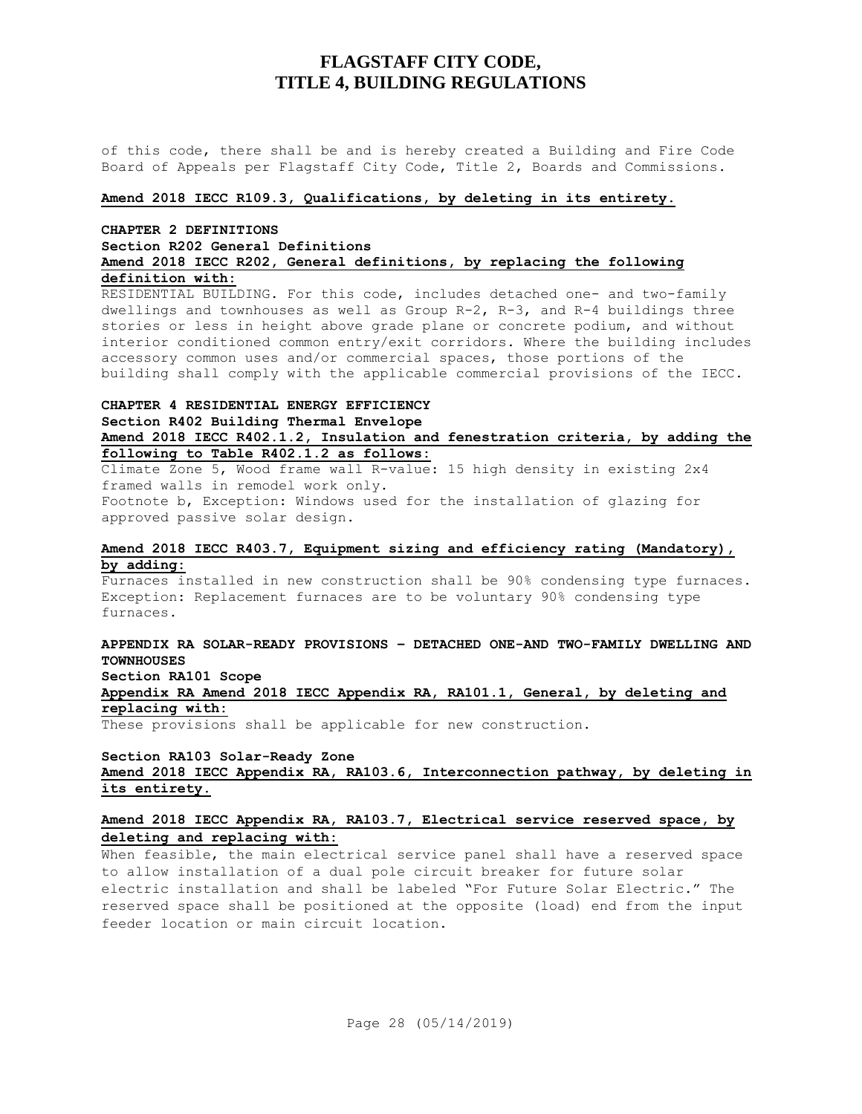of this code, there shall be and is hereby created a Building and Fire Code Board of Appeals per Flagstaff City Code, Title 2, Boards and Commissions.

#### **Amend 2018 IECC R109.3, Qualifications, by deleting in its entirety.**

## **CHAPTER 2 DEFINITIONS Section R202 General Definitions Amend 2018 IECC R202, General definitions, by replacing the following definition with:**

RESIDENTIAL BUILDING. For this code, includes detached one- and two-family dwellings and townhouses as well as Group R-2, R-3, and R-4 buildings three stories or less in height above grade plane or concrete podium, and without interior conditioned common entry/exit corridors. Where the building includes accessory common uses and/or commercial spaces, those portions of the building shall comply with the applicable commercial provisions of the IECC.

## **CHAPTER 4 RESIDENTIAL ENERGY EFFICIENCY Section R402 Building Thermal Envelope Amend 2018 IECC R402.1.2, Insulation and fenestration criteria, by adding the following to Table R402.1.2 as follows:**

Climate Zone 5, Wood frame wall R-value: 15 high density in existing 2x4 framed walls in remodel work only. Footnote b, Exception: Windows used for the installation of glazing for approved passive solar design.

## **Amend 2018 IECC R403.7, Equipment sizing and efficiency rating (Mandatory), by adding:**

Furnaces installed in new construction shall be 90% condensing type furnaces. Exception: Replacement furnaces are to be voluntary 90% condensing type furnaces.

## **APPENDIX RA SOLAR-READY PROVISIONS – DETACHED ONE-AND TWO-FAMILY DWELLING AND TOWNHOUSES**

**Section RA101 Scope**

## **Appendix RA Amend 2018 IECC Appendix RA, RA101.1, General, by deleting and replacing with:**

These provisions shall be applicable for new construction.

#### **Section RA103 Solar-Ready Zone**

### **Amend 2018 IECC Appendix RA, RA103.6, Interconnection pathway, by deleting in its entirety.**

## **Amend 2018 IECC Appendix RA, RA103.7, Electrical service reserved space, by deleting and replacing with:**

When feasible, the main electrical service panel shall have a reserved space to allow installation of a dual pole circuit breaker for future solar electric installation and shall be labeled "For Future Solar Electric." The reserved space shall be positioned at the opposite (load) end from the input feeder location or main circuit location.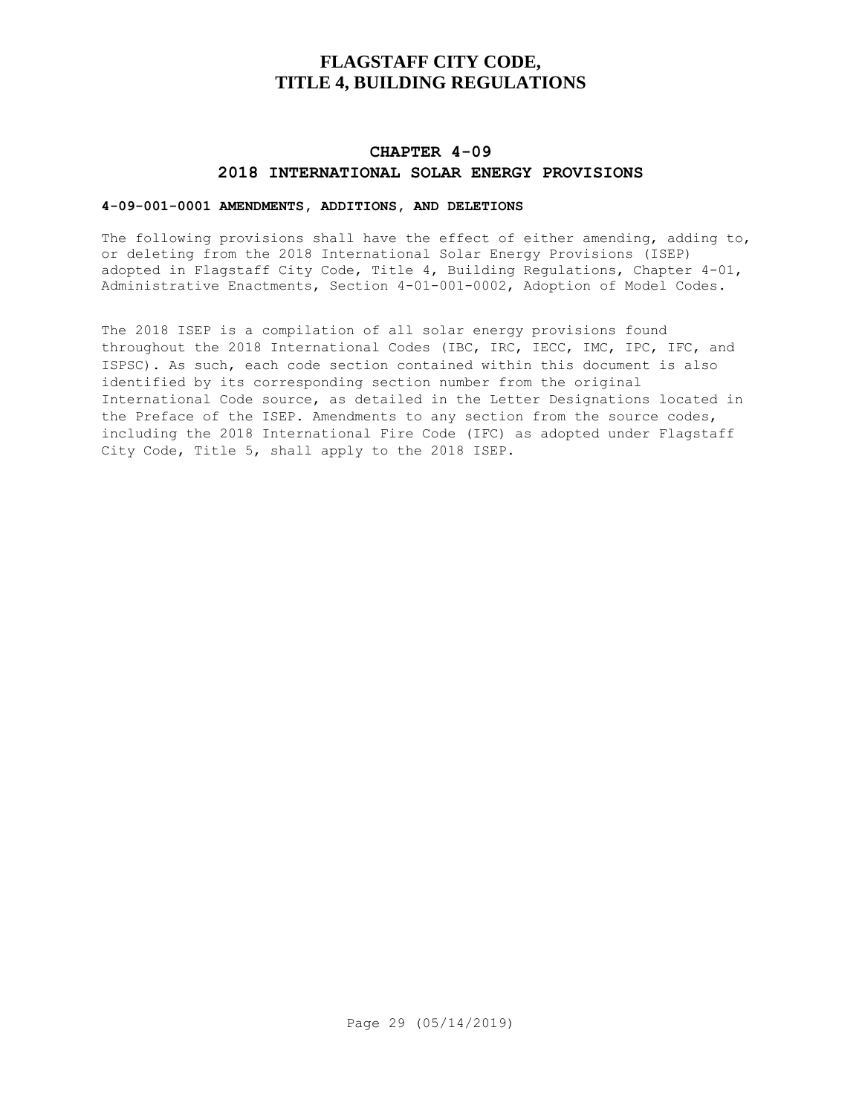## **CHAPTER 4-09 2018 INTERNATIONAL SOLAR ENERGY PROVISIONS**

## **4-09-001-0001 AMENDMENTS, ADDITIONS, AND DELETIONS**

The following provisions shall have the effect of either amending, adding to, or deleting from the 2018 International Solar Energy Provisions (ISEP) adopted in Flagstaff City Code, Title 4, Building Regulations, Chapter 4-01, Administrative Enactments, Section 4-01-001-0002, Adoption of Model Codes.

The 2018 ISEP is a compilation of all solar energy provisions found throughout the 2018 International Codes (IBC, IRC, IECC, IMC, IPC, IFC, and ISPSC). As such, each code section contained within this document is also identified by its corresponding section number from the original International Code source, as detailed in the Letter Designations located in the Preface of the ISEP. Amendments to any section from the source codes, including the 2018 International Fire Code (IFC) as adopted under Flagstaff City Code, Title 5, shall apply to the 2018 ISEP.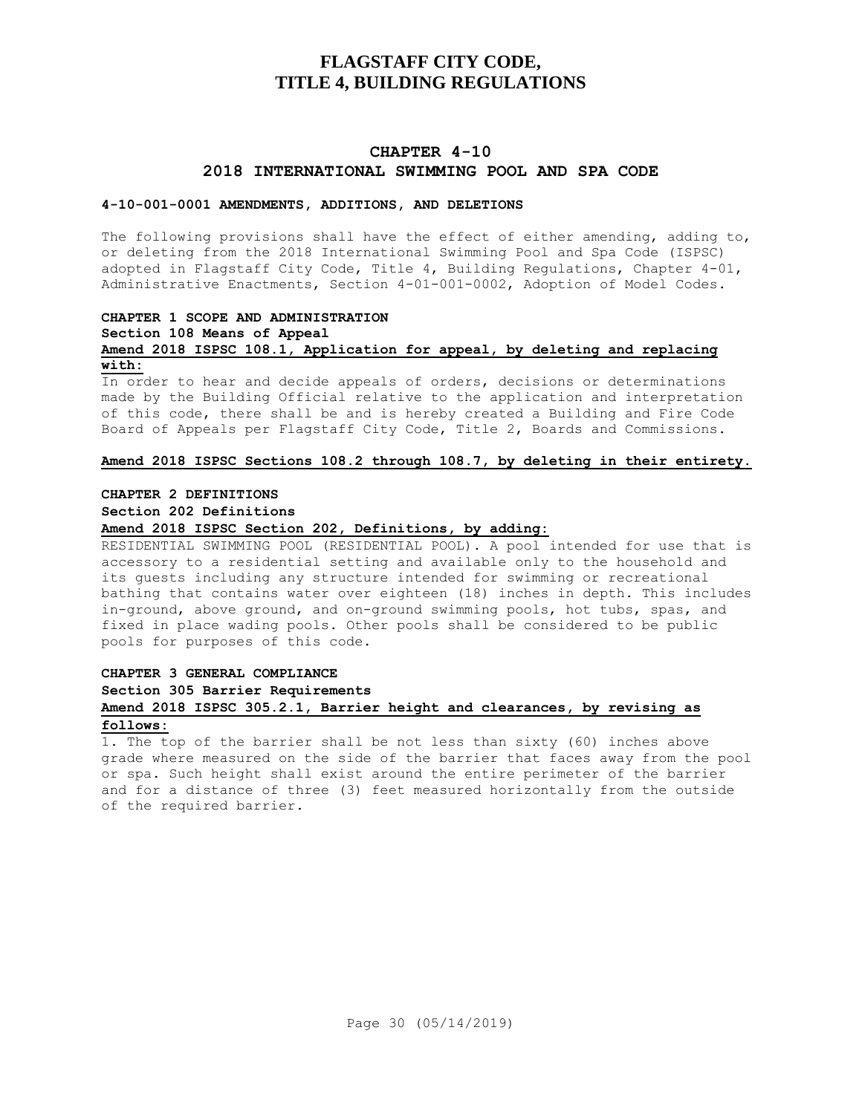## **CHAPTER 4-10 2018 INTERNATIONAL SWIMMING POOL AND SPA CODE**

#### **4-10-001-0001 AMENDMENTS, ADDITIONS, AND DELETIONS**

The following provisions shall have the effect of either amending, adding to, or deleting from the 2018 International Swimming Pool and Spa Code (ISPSC) adopted in Flagstaff City Code, Title 4, Building Regulations, Chapter 4-01, Administrative Enactments, Section 4-01-001-0002, Adoption of Model Codes.

## **CHAPTER 1 SCOPE AND ADMINISTRATION**

**Section 108 Means of Appeal**

### **Amend 2018 ISPSC 108.1, Application for appeal, by deleting and replacing with:**

In order to hear and decide appeals of orders, decisions or determinations made by the Building Official relative to the application and interpretation of this code, there shall be and is hereby created a Building and Fire Code Board of Appeals per Flagstaff City Code, Title 2, Boards and Commissions.

#### **Amend 2018 ISPSC Sections 108.2 through 108.7, by deleting in their entirety.**

#### **CHAPTER 2 DEFINITIONS**

**Section 202 Definitions**

#### **Amend 2018 ISPSC Section 202, Definitions, by adding:**

RESIDENTIAL SWIMMING POOL (RESIDENTIAL POOL). A pool intended for use that is accessory to a residential setting and available only to the household and its guests including any structure intended for swimming or recreational bathing that contains water over eighteen (18) inches in depth. This includes in-ground, above ground, and on-ground swimming pools, hot tubs, spas, and fixed in place wading pools. Other pools shall be considered to be public pools for purposes of this code.

### **CHAPTER 3 GENERAL COMPLIANCE**

**Section 305 Barrier Requirements**

## **Amend 2018 ISPSC 305.2.1, Barrier height and clearances, by revising as follows:**

1. The top of the barrier shall be not less than sixty (60) inches above grade where measured on the side of the barrier that faces away from the pool or spa. Such height shall exist around the entire perimeter of the barrier and for a distance of three (3) feet measured horizontally from the outside of the required barrier.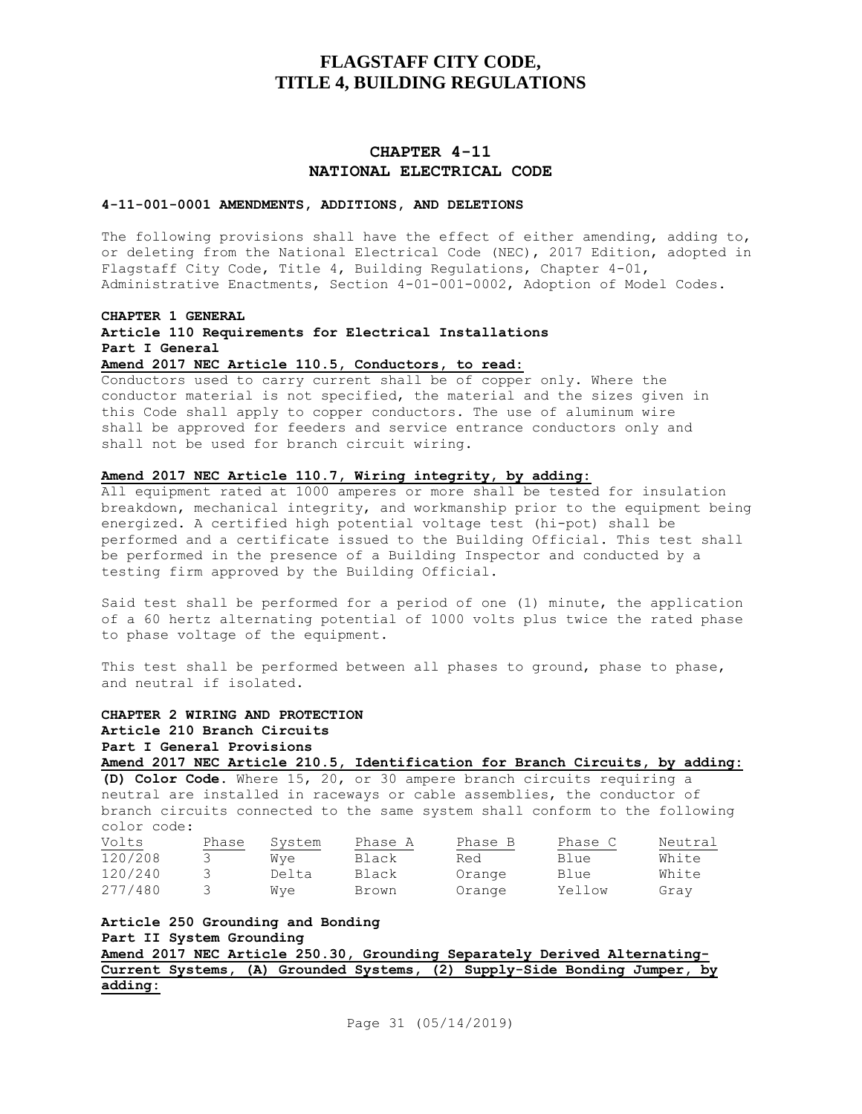## **CHAPTER 4-11 NATIONAL ELECTRICAL CODE**

#### **4-11-001-0001 AMENDMENTS, ADDITIONS, AND DELETIONS**

The following provisions shall have the effect of either amending, adding to, or deleting from the National Electrical Code (NEC), 2017 Edition, adopted in Flagstaff City Code, Title 4, Building Regulations, Chapter 4-01, Administrative Enactments, Section 4-01-001-0002, Adoption of Model Codes.

#### **CHAPTER 1 GENERAL**

**Article 110 Requirements for Electrical Installations Part I General**

**Amend 2017 NEC Article 110.5, Conductors, to read:**

Conductors used to carry current shall be of copper only. Where the conductor material is not specified, the material and the sizes given in this Code shall apply to copper conductors. The use of aluminum wire shall be approved for feeders and service entrance conductors only and shall not be used for branch circuit wiring.

#### **Amend 2017 NEC Article 110.7, Wiring integrity, by adding:**

All equipment rated at 1000 amperes or more shall be tested for insulation breakdown, mechanical integrity, and workmanship prior to the equipment being energized. A certified high potential voltage test (hi-pot) shall be performed and a certificate issued to the Building Official. This test shall be performed in the presence of a Building Inspector and conducted by a testing firm approved by the Building Official.

Said test shall be performed for a period of one (1) minute, the application of a 60 hertz alternating potential of 1000 volts plus twice the rated phase to phase voltage of the equipment.

This test shall be performed between all phases to ground, phase to phase, and neutral if isolated.

**CHAPTER 2 WIRING AND PROTECTION Article 210 Branch Circuits Part I General Provisions Amend 2017 NEC Article 210.5, Identification for Branch Circuits, by adding: (D) Color Code.** Where 15, 20, or 30 ampere branch circuits requiring a neutral are installed in raceways or cable assemblies, the conductor of branch circuits connected to the same system shall conform to the following

color code: Volts Phase System Phase A Phase B Phase C Neutral<br>
Thase Phase Phase B Phase C Neutral<br>
Red Blue White 120/208 3 Wye Black Red Blue White 120/240 3 Delta Black Orange Blue White 277/480 3 Wye Brown Orange Yellow Gray

**Article 250 Grounding and Bonding Part II System Grounding Amend 2017 NEC Article 250.30, Grounding Separately Derived Alternating-Current Systems, (A) Grounded Systems, (2) Supply-Side Bonding Jumper, by adding:**

Page 31 (05/14/2019)